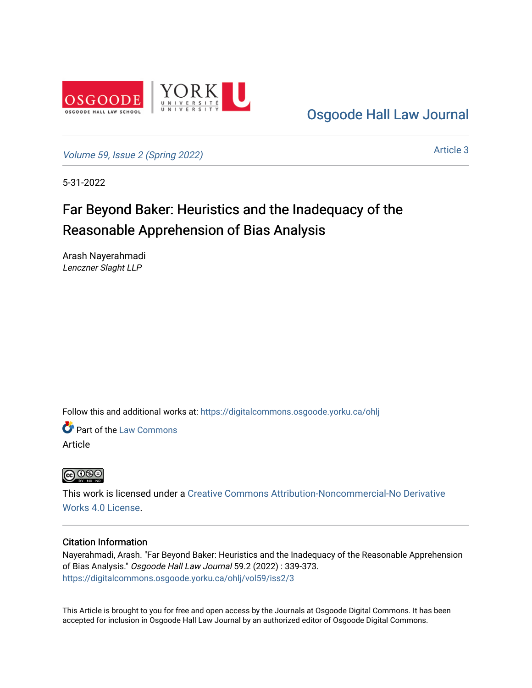

[Osgoode Hall Law Journal](https://digitalcommons.osgoode.yorku.ca/ohlj) 

[Volume 59, Issue 2 \(Spring 2022\)](https://digitalcommons.osgoode.yorku.ca/ohlj/vol59/iss2)

[Article 3](https://digitalcommons.osgoode.yorku.ca/ohlj/vol59/iss2/3) 

5-31-2022

# Far Beyond Baker: Heuristics and the Inadequacy of the Reasonable Apprehension of Bias Analysis

Arash Nayerahmadi Lenczner Slaght LLP

Follow this and additional works at: [https://digitalcommons.osgoode.yorku.ca/ohlj](https://digitalcommons.osgoode.yorku.ca/ohlj?utm_source=digitalcommons.osgoode.yorku.ca%2Fohlj%2Fvol59%2Fiss2%2F3&utm_medium=PDF&utm_campaign=PDFCoverPages)

**Part of the [Law Commons](https://network.bepress.com/hgg/discipline/578?utm_source=digitalcommons.osgoode.yorku.ca%2Fohlj%2Fvol59%2Fiss2%2F3&utm_medium=PDF&utm_campaign=PDFCoverPages)** Article

**@000** 

This work is licensed under a [Creative Commons Attribution-Noncommercial-No Derivative](https://creativecommons.org/licenses/by-nc-nd/4.0/)  [Works 4.0 License](https://creativecommons.org/licenses/by-nc-nd/4.0/).

## Citation Information

Nayerahmadi, Arash. "Far Beyond Baker: Heuristics and the Inadequacy of the Reasonable Apprehension of Bias Analysis." Osgoode Hall Law Journal 59.2 (2022) : 339-373. [https://digitalcommons.osgoode.yorku.ca/ohlj/vol59/iss2/3](https://digitalcommons.osgoode.yorku.ca/ohlj/vol59/iss2/3?utm_source=digitalcommons.osgoode.yorku.ca%2Fohlj%2Fvol59%2Fiss2%2F3&utm_medium=PDF&utm_campaign=PDFCoverPages) 

This Article is brought to you for free and open access by the Journals at Osgoode Digital Commons. It has been accepted for inclusion in Osgoode Hall Law Journal by an authorized editor of Osgoode Digital Commons.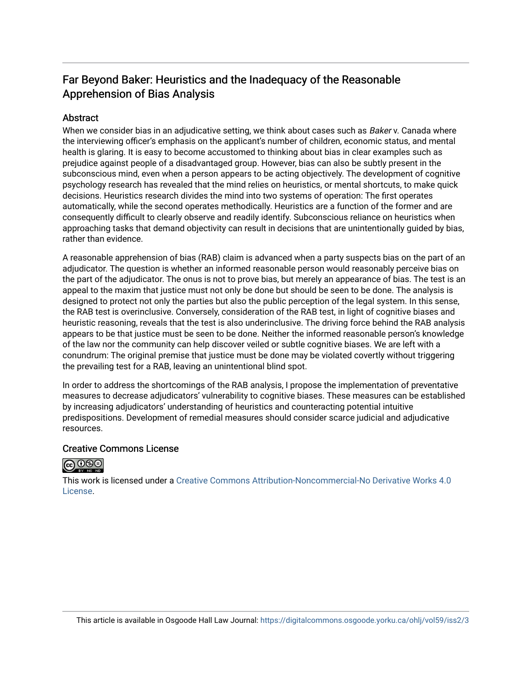## Far Beyond Baker: Heuristics and the Inadequacy of the Reasonable Apprehension of Bias Analysis

## **Abstract**

When we consider bias in an adjudicative setting, we think about cases such as Baker v. Canada where the interviewing officer's emphasis on the applicant's number of children, economic status, and mental health is glaring. It is easy to become accustomed to thinking about bias in clear examples such as prejudice against people of a disadvantaged group. However, bias can also be subtly present in the subconscious mind, even when a person appears to be acting objectively. The development of cognitive psychology research has revealed that the mind relies on heuristics, or mental shortcuts, to make quick decisions. Heuristics research divides the mind into two systems of operation: The first operates automatically, while the second operates methodically. Heuristics are a function of the former and are consequently difficult to clearly observe and readily identify. Subconscious reliance on heuristics when approaching tasks that demand objectivity can result in decisions that are unintentionally guided by bias, rather than evidence.

A reasonable apprehension of bias (RAB) claim is advanced when a party suspects bias on the part of an adjudicator. The question is whether an informed reasonable person would reasonably perceive bias on the part of the adjudicator. The onus is not to prove bias, but merely an appearance of bias. The test is an appeal to the maxim that justice must not only be done but should be seen to be done. The analysis is designed to protect not only the parties but also the public perception of the legal system. In this sense, the RAB test is overinclusive. Conversely, consideration of the RAB test, in light of cognitive biases and heuristic reasoning, reveals that the test is also underinclusive. The driving force behind the RAB analysis appears to be that justice must be seen to be done. Neither the informed reasonable person's knowledge of the law nor the community can help discover veiled or subtle cognitive biases. We are left with a conundrum: The original premise that justice must be done may be violated covertly without triggering the prevailing test for a RAB, leaving an unintentional blind spot.

In order to address the shortcomings of the RAB analysis, I propose the implementation of preventative measures to decrease adjudicators' vulnerability to cognitive biases. These measures can be established by increasing adjudicators' understanding of heuristics and counteracting potential intuitive predispositions. Development of remedial measures should consider scarce judicial and adjudicative resources.

## Creative Commons License



This work is licensed under a [Creative Commons Attribution-Noncommercial-No Derivative Works 4.0](https://creativecommons.org/licenses/by-nc-nd/4.0/) [License](https://creativecommons.org/licenses/by-nc-nd/4.0/).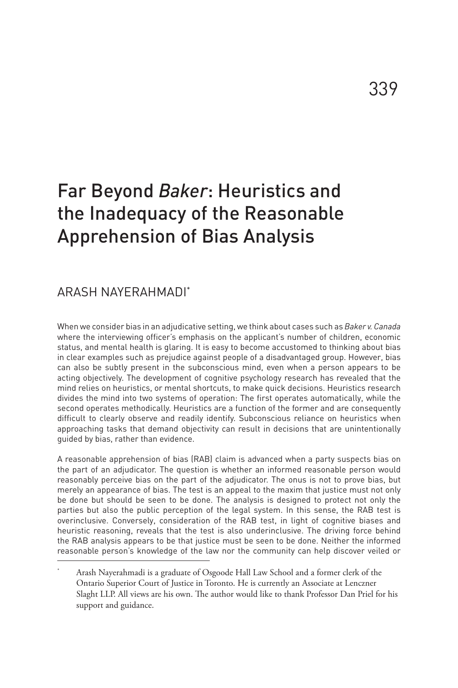## Far Beyond *Baker*: Heuristics and the Inadequacy of the Reasonable Apprehension of Bias Analysis

## ARASH NAYERAHMADI\*

When we consider bias in an adjudicative setting, we think about cases such as *Baker v. Canada*  where the interviewing officer's emphasis on the applicant's number of children, economic status, and mental health is glaring. It is easy to become accustomed to thinking about bias in clear examples such as prejudice against people of a disadvantaged group. However, bias can also be subtly present in the subconscious mind, even when a person appears to be acting objectively. The development of cognitive psychology research has revealed that the mind relies on heuristics, or mental shortcuts, to make quick decisions. Heuristics research divides the mind into two systems of operation: The first operates automatically, while the second operates methodically. Heuristics are a function of the former and are consequently difficult to clearly observe and readily identify. Subconscious reliance on heuristics when approaching tasks that demand objectivity can result in decisions that are unintentionally guided by bias, rather than evidence.

A reasonable apprehension of bias (RAB) claim is advanced when a party suspects bias on the part of an adjudicator. The question is whether an informed reasonable person would reasonably perceive bias on the part of the adjudicator. The onus is not to prove bias, but merely an appearance of bias. The test is an appeal to the maxim that justice must not only be done but should be seen to be done. The analysis is designed to protect not only the parties but also the public perception of the legal system. In this sense, the RAB test is overinclusive. Conversely, consideration of the RAB test, in light of cognitive biases and heuristic reasoning, reveals that the test is also underinclusive. The driving force behind the RAB analysis appears to be that justice must be seen to be done. Neither the informed reasonable person's knowledge of the law nor the community can help discover veiled or

Arash Nayerahmadi is a graduate of Osgoode Hall Law School and a former clerk of the Ontario Superior Court of Justice in Toronto. He is currently an Associate at Lenczner Slaght LLP. All views are his own. The author would like to thank Professor Dan Priel for his support and guidance.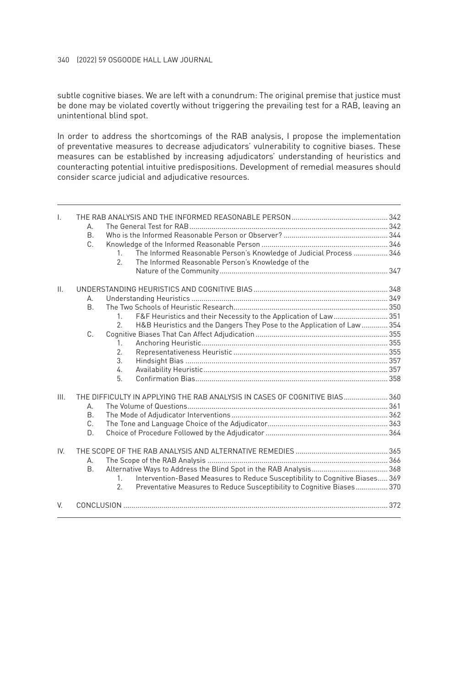#### 340 (2022) 59 OSGOODE HALL LAW JOURNAL

subtle cognitive biases. We are left with a conundrum: The original premise that justice must be done may be violated covertly without triggering the prevailing test for a RAB, leaving an unintentional blind spot.

In order to address the shortcomings of the RAB analysis, I propose the implementation of preventative measures to decrease adjudicators' vulnerability to cognitive biases. These measures can be established by increasing adjudicators' understanding of heuristics and counteracting potential intuitive predispositions. Development of remedial measures should consider scarce judicial and adjudicative resources.

| I.              | А.                                                                         |                                                                                              |  |
|-----------------|----------------------------------------------------------------------------|----------------------------------------------------------------------------------------------|--|
|                 | <sub>R</sub>                                                               |                                                                                              |  |
|                 | C.                                                                         |                                                                                              |  |
|                 |                                                                            | The Informed Reasonable Person's Knowledge of Judicial Process  346<br>$\mathbf{1}$          |  |
|                 |                                                                            | $\mathcal{P}$<br>The Informed Reasonable Person's Knowledge of the                           |  |
|                 |                                                                            |                                                                                              |  |
|                 |                                                                            |                                                                                              |  |
| $\mathbf{II}$ . |                                                                            |                                                                                              |  |
|                 | А.                                                                         |                                                                                              |  |
|                 | <b>B.</b>                                                                  |                                                                                              |  |
|                 |                                                                            | F&F Heuristics and their Necessity to the Application of Law 351<br>$\mathbf{1}$             |  |
|                 |                                                                            | H&B Heuristics and the Dangers They Pose to the Application of Law  354<br>2.                |  |
|                 | $C_{-}$                                                                    |                                                                                              |  |
|                 |                                                                            | $\mathbf{1}$                                                                                 |  |
|                 |                                                                            | 2.                                                                                           |  |
|                 |                                                                            | $\mathcal{R}$                                                                                |  |
|                 |                                                                            | 4.                                                                                           |  |
|                 |                                                                            | 5                                                                                            |  |
| III.            | THE DIFFICULTY IN APPLYING THE RAB ANALYSIS IN CASES OF COGNITIVE BIAS 360 |                                                                                              |  |
|                 | А.                                                                         |                                                                                              |  |
|                 | <b>B.</b>                                                                  |                                                                                              |  |
|                 | $C_{-}$                                                                    |                                                                                              |  |
|                 | D.                                                                         |                                                                                              |  |
| IV              |                                                                            |                                                                                              |  |
|                 | А.                                                                         |                                                                                              |  |
|                 | <b>B.</b>                                                                  |                                                                                              |  |
|                 |                                                                            | Intervention-Based Measures to Reduce Susceptibility to Cognitive Biases 369<br>$\mathbf{1}$ |  |
|                 |                                                                            | Preventative Measures to Reduce Susceptibility to Cognitive Biases 370<br>2.                 |  |
|                 |                                                                            |                                                                                              |  |
| V               |                                                                            |                                                                                              |  |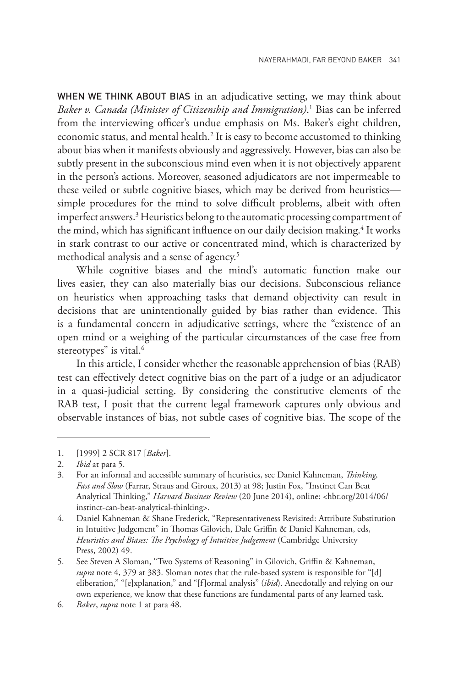WHEN WE THINK ABOUT BIAS in an adjudicative setting, we may think about *Baker v. Canada (Minister of Citizenship and Immigration)*. 1 Bias can be inferred from the interviewing officer's undue emphasis on Ms. Baker's eight children, economic status, and mental health.2 It is easy to become accustomed to thinking about bias when it manifests obviously and aggressively. However, bias can also be subtly present in the subconscious mind even when it is not objectively apparent in the person's actions. Moreover, seasoned adjudicators are not impermeable to these veiled or subtle cognitive biases, which may be derived from heuristics simple procedures for the mind to solve difficult problems, albeit with often imperfect answers.<sup>3</sup> Heuristics belong to the automatic processing compartment of the mind, which has significant influence on our daily decision making.<sup>4</sup> It works in stark contrast to our active or concentrated mind, which is characterized by methodical analysis and a sense of agency.<sup>5</sup>

While cognitive biases and the mind's automatic function make our lives easier, they can also materially bias our decisions. Subconscious reliance on heuristics when approaching tasks that demand objectivity can result in decisions that are unintentionally guided by bias rather than evidence. This is a fundamental concern in adjudicative settings, where the "existence of an open mind or a weighing of the particular circumstances of the case free from stereotypes" is vital.<sup>6</sup>

In this article, I consider whether the reasonable apprehension of bias (RAB) test can effectively detect cognitive bias on the part of a judge or an adjudicator in a quasi-judicial setting. By considering the constitutive elements of the RAB test, I posit that the current legal framework captures only obvious and observable instances of bias, not subtle cases of cognitive bias. The scope of the

<sup>1.</sup> [1999] 2 SCR 817 [*Baker*].

<sup>2.</sup> *Ibid* at para 5.

<sup>3.</sup> For an informal and accessible summary of heuristics, see Daniel Kahneman, *Thinking, Fast and Slow* (Farrar, Straus and Giroux, 2013) at 98; Justin Fox, "Instinct Can Beat Analytical Thinking," *Harvard Business Review* (20 June 2014), online: <hbr.org/2014/06/ instinct-can-beat-analytical-thinking>.

<sup>4.</sup> Daniel Kahneman & Shane Frederick, "Representativeness Revisited: Attribute Substitution in Intuitive Judgement" in Thomas Gilovich, Dale Griffin & Daniel Kahneman, eds, *Heuristics and Biases: The Psychology of Intuitive Judgement* (Cambridge University Press, 2002) 49.

<sup>5.</sup> See Steven A Sloman, "Two Systems of Reasoning" in Gilovich, Griffin & Kahneman, *supra* note 4, 379 at 383. Sloman notes that the rule-based system is responsible for "[d] eliberation," "[e]xplanation," and "[f]ormal analysis" (*ibid*). Anecdotally and relying on our own experience, we know that these functions are fundamental parts of any learned task.

<sup>6.</sup> *Baker*, *supra* note 1 at para 48.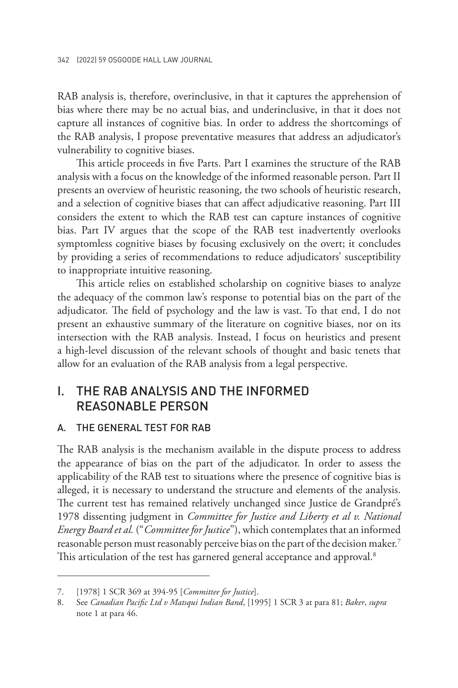RAB analysis is, therefore, overinclusive, in that it captures the apprehension of bias where there may be no actual bias, and underinclusive, in that it does not capture all instances of cognitive bias. In order to address the shortcomings of the RAB analysis, I propose preventative measures that address an adjudicator's vulnerability to cognitive biases.

This article proceeds in five Parts. Part I examines the structure of the RAB analysis with a focus on the knowledge of the informed reasonable person. Part II presents an overview of heuristic reasoning, the two schools of heuristic research, and a selection of cognitive biases that can affect adjudicative reasoning. Part III considers the extent to which the RAB test can capture instances of cognitive bias. Part IV argues that the scope of the RAB test inadvertently overlooks symptomless cognitive biases by focusing exclusively on the overt; it concludes by providing a series of recommendations to reduce adjudicators' susceptibility to inappropriate intuitive reasoning.

This article relies on established scholarship on cognitive biases to analyze the adequacy of the common law's response to potential bias on the part of the adjudicator. The field of psychology and the law is vast. To that end, I do not present an exhaustive summary of the literature on cognitive biases, nor on its intersection with the RAB analysis. Instead, I focus on heuristics and present a high-level discussion of the relevant schools of thought and basic tenets that allow for an evaluation of the RAB analysis from a legal perspective.

## I. THE RAB ANALYSIS AND THE INFORMED REASONABLE PERSON

#### A. THE GENERAL TEST FOR RAB

The RAB analysis is the mechanism available in the dispute process to address the appearance of bias on the part of the adjudicator. In order to assess the applicability of the RAB test to situations where the presence of cognitive bias is alleged, it is necessary to understand the structure and elements of the analysis. The current test has remained relatively unchanged since Justice de Grandpré's 1978 dissenting judgment in *Committee for Justice and Liberty et al v. National Energy Board et al.* ("*Committee for Justice*"), which contemplates that an informed reasonable person must reasonably perceive bias on the part of the decision maker.7 This articulation of the test has garnered general acceptance and approval.<sup>8</sup>

<sup>7.</sup> [1978] 1 SCR 369 at 394-95 [*Committee for Justice*].

<sup>8.</sup> See *Canadian Pacific Ltd v Matsqui Indian Band*, [1995] 1 SCR 3 at para 81; *Baker*, *supra* note 1 at para 46.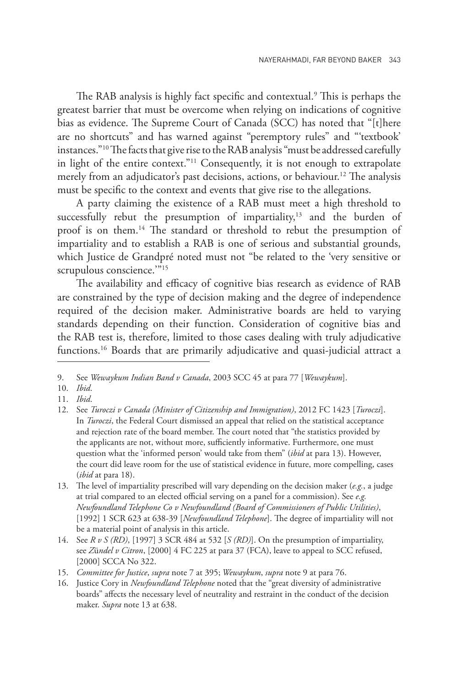The RAB analysis is highly fact specific and contextual.9 This is perhaps the greatest barrier that must be overcome when relying on indications of cognitive bias as evidence. The Supreme Court of Canada (SCC) has noted that "[t]here are no shortcuts" and has warned against "peremptory rules" and "'textbook' instances."10 The facts that give rise to the RAB analysis "must be addressed carefully in light of the entire context."11 Consequently, it is not enough to extrapolate merely from an adjudicator's past decisions, actions, or behaviour.12 The analysis must be specific to the context and events that give rise to the allegations.

A party claiming the existence of a RAB must meet a high threshold to successfully rebut the presumption of impartiality, $13$  and the burden of proof is on them.<sup>14</sup> The standard or threshold to rebut the presumption of impartiality and to establish a RAB is one of serious and substantial grounds, which Justice de Grandpré noted must not "be related to the 'very sensitive or scrupulous conscience."<sup>15</sup>

The availability and efficacy of cognitive bias research as evidence of RAB are constrained by the type of decision making and the degree of independence required of the decision maker. Administrative boards are held to varying standards depending on their function. Consideration of cognitive bias and the RAB test is, therefore, limited to those cases dealing with truly adjudicative functions.<sup>16</sup> Boards that are primarily adjudicative and quasi-judicial attract a

<sup>9.</sup> See *Wewaykum Indian Band v Canada*, 2003 SCC 45 at para 77 [*Wewaykum*].

<sup>10.</sup> *Ibid*.

<sup>11.</sup> *Ibid*.

<sup>12.</sup> See *Turoczi v Canada (Minister of Citizenship and Immigration)*, 2012 FC 1423 [*Turoczi*]. In *Turoczi*, the Federal Court dismissed an appeal that relied on the statistical acceptance and rejection rate of the board member. The court noted that "the statistics provided by the applicants are not, without more, sufficiently informative. Furthermore, one must question what the 'informed person' would take from them" (*ibid* at para 13). However, the court did leave room for the use of statistical evidence in future, more compelling, cases (*ibid* at para 18).

<sup>13.</sup> The level of impartiality prescribed will vary depending on the decision maker (*e.g.*, a judge at trial compared to an elected official serving on a panel for a commission). See *e.g. Newfoundland Telephone Co v Newfoundland (Board of Commissioners of Public Utilities)*, [1992] 1 SCR 623 at 638-39 [*Newfoundland Telephone*]. The degree of impartiality will not be a material point of analysis in this article.

<sup>14.</sup> See *R v S (RD)*, [1997] 3 SCR 484 at 532 [*S (RD)*]. On the presumption of impartiality, see *Z*ü*ndel v Citron*, [2000] 4 FC 225 at para 37 (FCA), leave to appeal to SCC refused, [2000] SCCA No 322.

<sup>15.</sup> *Committee for Justice*, *supra* note 7 at 395; *Wewaykum*, *supra* note 9 at para 76.

<sup>16.</sup> Justice Cory in *Newfoundland Telephone* noted that the "great diversity of administrative boards" affects the necessary level of neutrality and restraint in the conduct of the decision maker. *Supra* note 13 at 638.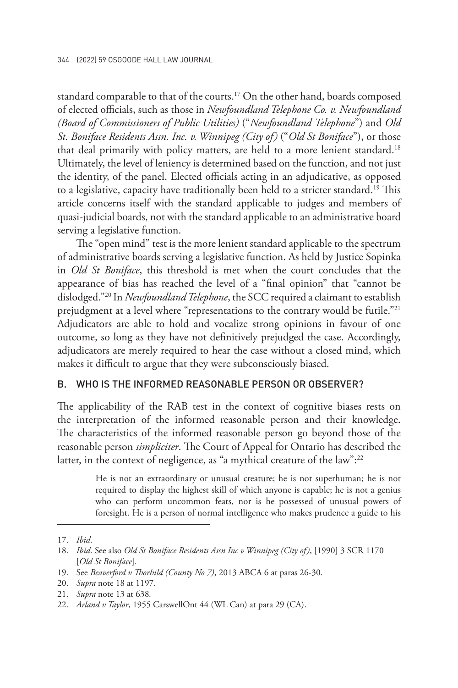standard comparable to that of the courts.<sup>17</sup> On the other hand, boards composed of elected officials, such as those in *Newfoundland Telephone Co. v. Newfoundland (Board of Commissioners of Public Utilities)* ("*Newfoundland Telephone*") and *Old St. Boniface Residents Assn. Inc. v. Winnipeg (City of)* ("*Old St Boniface*"), or those that deal primarily with policy matters, are held to a more lenient standard.<sup>18</sup> Ultimately, the level of leniency is determined based on the function, and not just the identity, of the panel. Elected officials acting in an adjudicative, as opposed to a legislative, capacity have traditionally been held to a stricter standard.<sup>19</sup> This article concerns itself with the standard applicable to judges and members of quasi-judicial boards, not with the standard applicable to an administrative board serving a legislative function.

The "open mind" test is the more lenient standard applicable to the spectrum of administrative boards serving a legislative function. As held by Justice Sopinka in *Old St Boniface*, this threshold is met when the court concludes that the appearance of bias has reached the level of a "final opinion" that "cannot be dislodged."20 In *Newfoundland Telephone*, the SCC required a claimant to establish prejudgment at a level where "representations to the contrary would be futile."<sup>21</sup> Adjudicators are able to hold and vocalize strong opinions in favour of one outcome, so long as they have not definitively prejudged the case. Accordingly, adjudicators are merely required to hear the case without a closed mind, which makes it difficult to argue that they were subconsciously biased.

#### B. WHO IS THE INFORMED REASONABLE PERSON OR OBSERVER?

The applicability of the RAB test in the context of cognitive biases rests on the interpretation of the informed reasonable person and their knowledge. The characteristics of the informed reasonable person go beyond those of the reasonable person *simpliciter*. The Court of Appeal for Ontario has described the latter, in the context of negligence, as "a mythical creature of the law":<sup>22</sup>

> He is not an extraordinary or unusual creature; he is not superhuman; he is not required to display the highest skill of which anyone is capable; he is not a genius who can perform uncommon feats, nor is he possessed of unusual powers of foresight. He is a person of normal intelligence who makes prudence a guide to his

<sup>17.</sup> *Ibid*.

<sup>18.</sup> *Ibid*. See also *Old St Boniface Residents Assn Inc v Winnipeg (City of)*, [1990] 3 SCR 1170 [*Old St Boniface*].

<sup>19.</sup> See *Beaverford v Thorhild (County No 7)*, 2013 ABCA 6 at paras 26-30.

<sup>20.</sup> *Supra* note 18 at 1197.

<sup>21.</sup> *Supra* note 13 at 638*.*

<sup>22.</sup> *Arland v Taylor*, 1955 CarswellOnt 44 (WL Can) at para 29 (CA).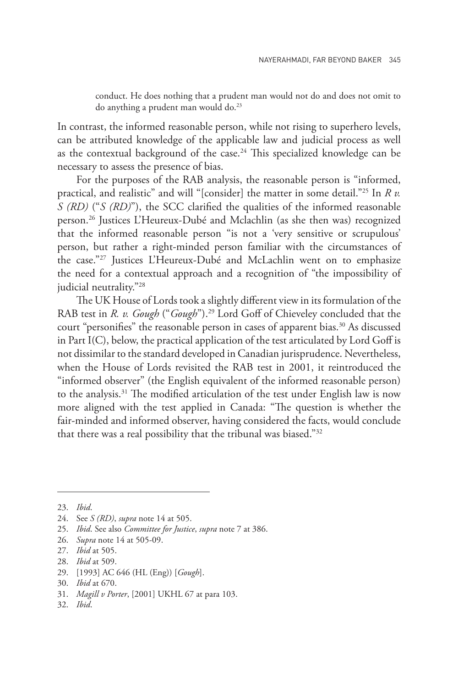conduct. He does nothing that a prudent man would not do and does not omit to do anything a prudent man would do.<sup>23</sup>

In contrast, the informed reasonable person, while not rising to superhero levels, can be attributed knowledge of the applicable law and judicial process as well as the contextual background of the case.<sup>24</sup> This specialized knowledge can be necessary to assess the presence of bias.

For the purposes of the RAB analysis, the reasonable person is "informed, practical, and realistic" and will "[consider] the matter in some detail."25 In *R v. S (RD)* ("*S (RD)*"), the SCC clarified the qualities of the informed reasonable person.26 Justices L'Heureux-Dubé and Mclachlin (as she then was) recognized that the informed reasonable person "is not a 'very sensitive or scrupulous' person, but rather a right-minded person familiar with the circumstances of the case."27 Justices L'Heureux-Dubé and McLachlin went on to emphasize the need for a contextual approach and a recognition of "the impossibility of judicial neutrality."28

The UK House of Lords took a slightly different view in its formulation of the RAB test in *R. v. Gough* ("*Gough*").29 Lord Goff of Chieveley concluded that the court "personifies" the reasonable person in cases of apparent bias.<sup>30</sup> As discussed in Part I(C), below, the practical application of the test articulated by Lord Goff is not dissimilar to the standard developed in Canadian jurisprudence. Nevertheless, when the House of Lords revisited the RAB test in 2001, it reintroduced the "informed observer" (the English equivalent of the informed reasonable person) to the analysis.31 The modified articulation of the test under English law is now more aligned with the test applied in Canada: "The question is whether the fair-minded and informed observer, having considered the facts, would conclude that there was a real possibility that the tribunal was biased."32

<sup>23.</sup> *Ibid*.

<sup>24.</sup> See *S (RD)*, *supra* note 14 at 505.

<sup>25.</sup> *Ibid*. See also *Committee for Justice*, *supra* note 7 at 386.

<sup>26.</sup> *Supra* note 14 at 505-09.

<sup>27.</sup> *Ibid* at 505.

<sup>28.</sup> *Ibid* at 509.

<sup>29.</sup> [1993] AC 646 (HL (Eng)) [*Gough*].

<sup>30.</sup> *Ibid* at 670.

<sup>31.</sup> *Magill v Porter*, [2001] UKHL 67 at para 103.

<sup>32.</sup> *Ibid*.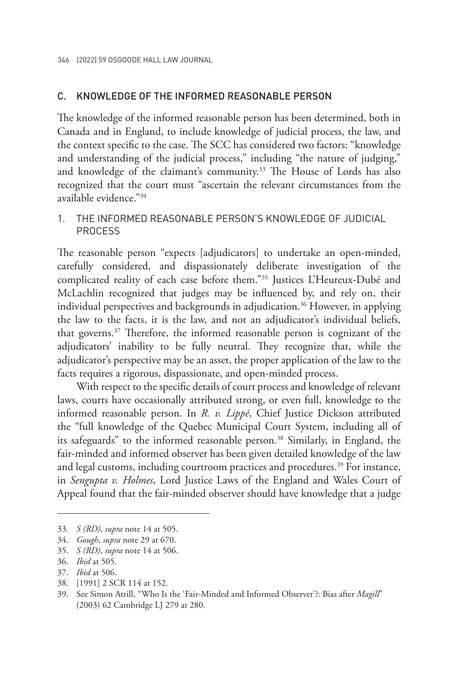#### C. KNOWLEDGE OF THE INFORMED REASONABLE PERSON

The knowledge of the informed reasonable person has been determined, both in Canada and in England, to include knowledge of judicial process, the law, and the context specific to the case. The SCC has considered two factors: "knowledge and understanding of the judicial process," including "the nature of judging," and knowledge of the claimant's community.<sup>33</sup> The House of Lords has also recognized that the court must "ascertain the relevant circumstances from the available evidence."<sup>34</sup>

#### 1. THE INFORMED REASONABLE PERSON'S KNOWLEDGE OF JUDICIAL PROCESS

The reasonable person "expects [adjudicators] to undertake an open-minded, carefully considered, and dispassionately deliberate investigation of the complicated reality of each case before them."35 Justices L'Heureux-Dubé and McLachlin recognized that judges may be influenced by, and rely on, their individual perspectives and backgrounds in adjudication.36 However, in applying the law to the facts, it is the law, and not an adjudicator's individual beliefs, that governs.37 Therefore, the informed reasonable person is cognizant of the adjudicators' inability to be fully neutral. They recognize that, while the adjudicator's perspective may be an asset, the proper application of the law to the facts requires a rigorous, dispassionate, and open-minded process.

With respect to the specific details of court process and knowledge of relevant laws, courts have occasionally attributed strong, or even full, knowledge to the informed reasonable person. In *R. v. Lippé*, Chief Justice Dickson attributed the "full knowledge of the Quebec Municipal Court System, including all of its safeguards" to the informed reasonable person.<sup>38</sup> Similarly, in England, the fair-minded and informed observer has been given detailed knowledge of the law and legal customs, including courtroom practices and procedures.<sup>39</sup> For instance, in *Sengupta v. Holmes*, Lord Justice Laws of the England and Wales Court of Appeal found that the fair-minded observer should have knowledge that a judge

- 37. *Ibid* at 506.
- 38. [1991] 2 SCR 114 at 152.

<sup>33.</sup> *S (RD)*, *supra* note 14 at 505.

<sup>34.</sup> *Gough*, *supra* note 29 at 670.

<sup>35.</sup> *S (RD)*, *supra* note 14 at 506.

<sup>36.</sup> *Ibid* at 505.

<sup>39.</sup> See Simon Atrill, "Who Is the 'Fair-Minded and Informed Observer'?: Bias after *Magill*" (2003) 62 Cambridge LJ 279 at 280.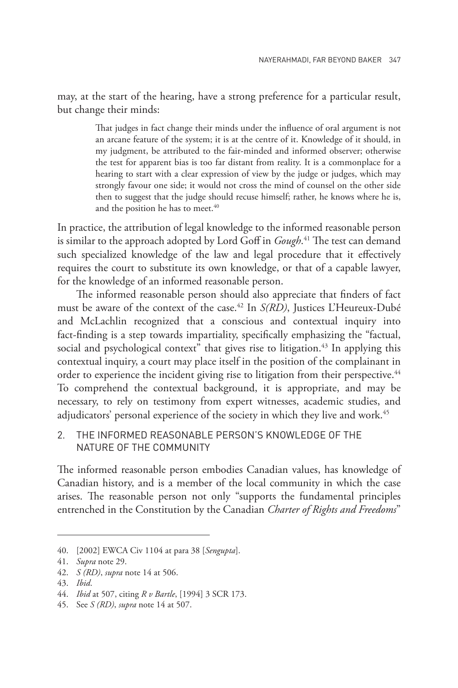may, at the start of the hearing, have a strong preference for a particular result, but change their minds:

> That judges in fact change their minds under the influence of oral argument is not an arcane feature of the system; it is at the centre of it. Knowledge of it should, in my judgment, be attributed to the fair-minded and informed observer; otherwise the test for apparent bias is too far distant from reality. It is a commonplace for a hearing to start with a clear expression of view by the judge or judges, which may strongly favour one side; it would not cross the mind of counsel on the other side then to suggest that the judge should recuse himself; rather, he knows where he is, and the position he has to meet.<sup>40</sup>

In practice, the attribution of legal knowledge to the informed reasonable person is similar to the approach adopted by Lord Goff in *Gough*. 41 The test can demand such specialized knowledge of the law and legal procedure that it effectively requires the court to substitute its own knowledge, or that of a capable lawyer, for the knowledge of an informed reasonable person.

The informed reasonable person should also appreciate that finders of fact must be aware of the context of the case.42 In *S(RD)*, Justices L'Heureux-Dubé and McLachlin recognized that a conscious and contextual inquiry into fact-finding is a step towards impartiality, specifically emphasizing the "factual, social and psychological context" that gives rise to litigation.<sup>43</sup> In applying this contextual inquiry, a court may place itself in the position of the complainant in order to experience the incident giving rise to litigation from their perspective.<sup>44</sup> To comprehend the contextual background, it is appropriate, and may be necessary, to rely on testimony from expert witnesses, academic studies, and adjudicators' personal experience of the society in which they live and work.<sup>45</sup>

2. THE INFORMED REASONABLE PERSON'S KNOWLEDGE OF THE NATURE OF THE COMMUNITY

The informed reasonable person embodies Canadian values, has knowledge of Canadian history, and is a member of the local community in which the case arises. The reasonable person not only "supports the fundamental principles entrenched in the Constitution by the Canadian *Charter of Rights and Freedoms*"

<sup>40.</sup> [2002] EWCA Civ 1104 at para 38 [*Sengupta*].

<sup>41.</sup> *Supra* note 29.

<sup>42.</sup> *S (RD)*, *supra* note 14 at 506.

<sup>43.</sup> *Ibid*.

<sup>44.</sup> *Ibid* at 507, citing *R v Bartle*, [1994] 3 SCR 173.

<sup>45.</sup> See *S (RD)*, *supra* note 14 at 507.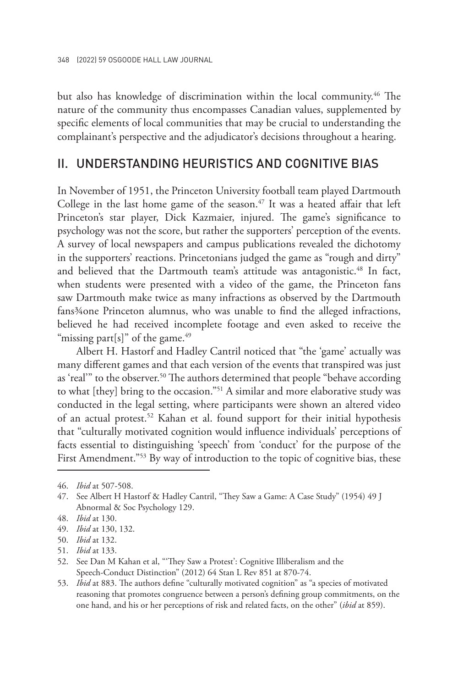but also has knowledge of discrimination within the local community.<sup>46</sup> The nature of the community thus encompasses Canadian values, supplemented by specific elements of local communities that may be crucial to understanding the complainant's perspective and the adjudicator's decisions throughout a hearing.

### II. UNDERSTANDING HEURISTICS AND COGNITIVE BIAS

In November of 1951, the Princeton University football team played Dartmouth College in the last home game of the season.<sup>47</sup> It was a heated affair that left Princeton's star player, Dick Kazmaier, injured. The game's significance to psychology was not the score, but rather the supporters' perception of the events. A survey of local newspapers and campus publications revealed the dichotomy in the supporters' reactions. Princetonians judged the game as "rough and dirty" and believed that the Dartmouth team's attitude was antagonistic.<sup>48</sup> In fact, when students were presented with a video of the game, the Princeton fans saw Dartmouth make twice as many infractions as observed by the Dartmouth fans<sup>3</sup>/4 one Princeton alumnus, who was unable to find the alleged infractions, believed he had received incomplete footage and even asked to receive the "missing part[s]" of the game. $49$ 

Albert H. Hastorf and Hadley Cantril noticed that "the 'game' actually was many different games and that each version of the events that transpired was just as 'real'" to the observer.<sup>50</sup> The authors determined that people "behave according to what [they] bring to the occasion."<sup>51</sup> A similar and more elaborative study was conducted in the legal setting, where participants were shown an altered video of an actual protest.<sup>52</sup> Kahan et al. found support for their initial hypothesis that "culturally motivated cognition would influence individuals' perceptions of facts essential to distinguishing 'speech' from 'conduct' for the purpose of the First Amendment."<sup>53</sup> By way of introduction to the topic of cognitive bias, these

- 49. *Ibid* at 130, 132.
- 50. *Ibid* at 132.
- 51. *Ibid* at 133.

53. *Ibid* at 883. The authors define "culturally motivated cognition" as "a species of motivated reasoning that promotes congruence between a person's defining group commitments, on the one hand, and his or her perceptions of risk and related facts, on the other" (*ibid* at 859).

<sup>46.</sup> *Ibid* at 507-508.

<sup>47.</sup> See Albert H Hastorf & Hadley Cantril, "They Saw a Game: A Case Study" (1954) 49 J Abnormal & Soc Psychology 129.

<sup>48.</sup> *Ibid* at 130.

<sup>52.</sup> See Dan M Kahan et al, "'They Saw a Protest': Cognitive Illiberalism and the Speech-Conduct Distinction" (2012) 64 Stan L Rev 851 at 870-74.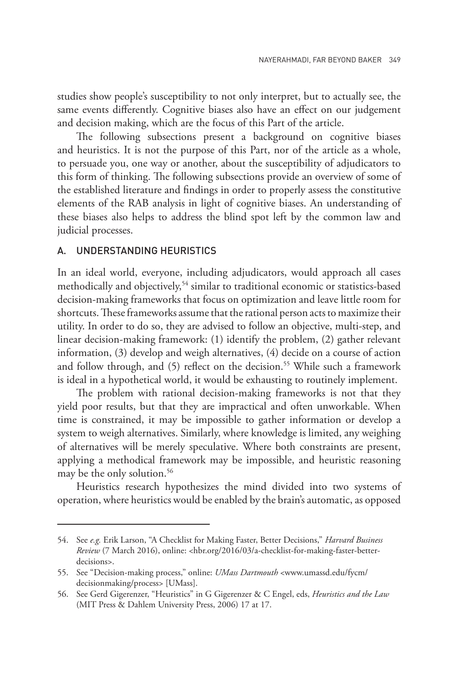studies show people's susceptibility to not only interpret, but to actually see, the same events differently. Cognitive biases also have an effect on our judgement and decision making, which are the focus of this Part of the article.

The following subsections present a background on cognitive biases and heuristics. It is not the purpose of this Part, nor of the article as a whole, to persuade you, one way or another, about the susceptibility of adjudicators to this form of thinking. The following subsections provide an overview of some of the established literature and findings in order to properly assess the constitutive elements of the RAB analysis in light of cognitive biases. An understanding of these biases also helps to address the blind spot left by the common law and judicial processes.

#### A. UNDERSTANDING HEURISTICS

In an ideal world, everyone, including adjudicators, would approach all cases methodically and objectively,<sup>54</sup> similar to traditional economic or statistics-based decision-making frameworks that focus on optimization and leave little room for shortcuts. These frameworks assume that the rational person acts to maximize their utility. In order to do so, they are advised to follow an objective, multi-step, and linear decision-making framework: (1) identify the problem, (2) gather relevant information, (3) develop and weigh alternatives, (4) decide on a course of action and follow through, and (5) reflect on the decision.<sup>55</sup> While such a framework is ideal in a hypothetical world, it would be exhausting to routinely implement.

The problem with rational decision-making frameworks is not that they yield poor results, but that they are impractical and often unworkable. When time is constrained, it may be impossible to gather information or develop a system to weigh alternatives. Similarly, where knowledge is limited, any weighing of alternatives will be merely speculative. Where both constraints are present, applying a methodical framework may be impossible, and heuristic reasoning may be the only solution.<sup>56</sup>

Heuristics research hypothesizes the mind divided into two systems of operation, where heuristics would be enabled by the brain's automatic, as opposed

<sup>54.</sup> See *e.g.* Erik Larson, "A Checklist for Making Faster, Better Decisions," *Harvard Business Review* (7 March 2016), online: <hbr.org/2016/03/a-checklist-for-making-faster-betterdecisions>.

<sup>55.</sup> See "Decision-making process," online: *UMass Dartmouth* <www.umassd.edu/fycm/ decisionmaking/process> [UMass].

<sup>56.</sup> See Gerd Gigerenzer, "Heuristics" in G Gigerenzer & C Engel, eds, *Heuristics and the Law* (MIT Press & Dahlem University Press, 2006) 17 at 17.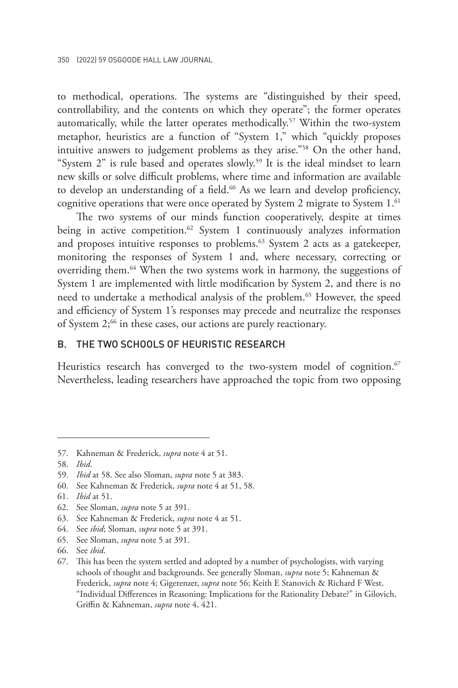to methodical, operations. The systems are "distinguished by their speed, controllability, and the contents on which they operate"; the former operates automatically, while the latter operates methodically.<sup>57</sup> Within the two-system metaphor, heuristics are a function of "System 1," which "quickly proposes intuitive answers to judgement problems as they arise."58 On the other hand, "System  $2$ " is rule based and operates slowly.<sup>59</sup> It is the ideal mindset to learn new skills or solve difficult problems, where time and information are available to develop an understanding of a field.<sup>60</sup> As we learn and develop proficiency, cognitive operations that were once operated by System 2 migrate to System 1.<sup>61</sup>

The two systems of our minds function cooperatively, despite at times being in active competition.<sup>62</sup> System 1 continuously analyzes information and proposes intuitive responses to problems.<sup>63</sup> System 2 acts as a gatekeeper, monitoring the responses of System 1 and, where necessary, correcting or overriding them.64 When the two systems work in harmony, the suggestions of System 1 are implemented with little modification by System 2, and there is no need to undertake a methodical analysis of the problem.<sup>65</sup> However, the speed and efficiency of System 1's responses may precede and neutralize the responses of System 2;<sup>66</sup> in these cases, our actions are purely reactionary.

#### B. THE TWO SCHOOLS OF HEURISTIC RESEARCH

Heuristics research has converged to the two-system model of cognition.<sup>67</sup> Nevertheless, leading researchers have approached the topic from two opposing

<sup>57.</sup> Kahneman & Frederick, *supra* note 4 at 51.

<sup>58.</sup> *Ibid*.

<sup>59.</sup> *Ibid* at 58. See also Sloman, *supra* note 5 at 383.

<sup>60.</sup> See Kahneman & Frederick, *supra* note 4 at 51, 58.

<sup>61.</sup> *Ibid* at 51.

<sup>62.</sup> See Sloman, *supra* note 5 at 391.

<sup>63.</sup> See Kahneman & Frederick, *supra* note 4 at 51.

<sup>64.</sup> See *ibid*; Sloman, *supra* note 5 at 391.

<sup>65.</sup> See Sloman, *supra* note 5 at 391.

<sup>66.</sup> See *ibid*.

<sup>67.</sup> This has been the system settled and adopted by a number of psychologists, with varying schools of thought and backgrounds. See generally Sloman, *supra* note 5; Kahneman & Frederick, *supra* note 4; Gigerenzer, *supra* note 56; Keith E Stanovich & Richard F West, "Individual Differences in Reasoning: Implications for the Rationality Debate?" in Gilovich, Griffin & Kahneman, *supra* note 4, 421.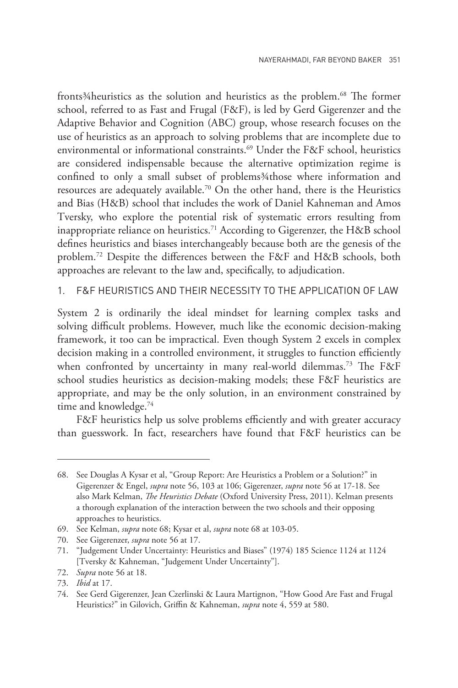fronts<sup>3</sup>/4 heuristics as the solution and heuristics as the problem.<sup>68</sup> The former school, referred to as Fast and Frugal (F&F), is led by Gerd Gigerenzer and the Adaptive Behavior and Cognition (ABC) group, whose research focuses on the use of heuristics as an approach to solving problems that are incomplete due to environmental or informational constraints.<sup>69</sup> Under the F&F school, heuristics are considered indispensable because the alternative optimization regime is confined to only a small subset of problems¾those where information and resources are adequately available.70 On the other hand, there is the Heuristics and Bias (H&B) school that includes the work of Daniel Kahneman and Amos Tversky, who explore the potential risk of systematic errors resulting from inappropriate reliance on heuristics.<sup>71</sup> According to Gigerenzer, the H&B school defines heuristics and biases interchangeably because both are the genesis of the problem.72 Despite the differences between the F&F and H&B schools, both approaches are relevant to the law and, specifically, to adjudication.

1. F&F HEURISTICS AND THEIR NECESSITY TO THE APPLICATION OF LAW

System 2 is ordinarily the ideal mindset for learning complex tasks and solving difficult problems. However, much like the economic decision-making framework, it too can be impractical. Even though System 2 excels in complex decision making in a controlled environment, it struggles to function efficiently when confronted by uncertainty in many real-world dilemmas.<sup>73</sup> The F&F school studies heuristics as decision-making models; these F&F heuristics are appropriate, and may be the only solution, in an environment constrained by time and knowledge.<sup>74</sup>

F&F heuristics help us solve problems efficiently and with greater accuracy than guesswork. In fact, researchers have found that F&F heuristics can be

<sup>68.</sup> See Douglas A Kysar et al, "Group Report: Are Heuristics a Problem or a Solution?" in Gigerenzer & Engel, *supra* note 56, 103 at 106; Gigerenzer, *supra* note 56 at 17-18. See also Mark Kelman, *The Heuristics Debate* (Oxford University Press, 2011). Kelman presents a thorough explanation of the interaction between the two schools and their opposing approaches to heuristics.

<sup>69.</sup> See Kelman, *supra* note 68; Kysar et al, *supra* note 68 at 103-05.

<sup>70.</sup> See Gigerenzer, *supra* note 56 at 17.

<sup>71.</sup> "Judgement Under Uncertainty: Heuristics and Biases" (1974) 185 Science 1124 at 1124 [Tversky & Kahneman, "Judgement Under Uncertainty"].

<sup>72.</sup> *Supra* note 56 at 18.

<sup>73.</sup> *Ibid* at 17.

<sup>74.</sup> See Gerd Gigerenzer, Jean Czerlinski & Laura Martignon, "How Good Are Fast and Frugal Heuristics?" in Gilovich, Griffin & Kahneman, *supra* note 4, 559 at 580.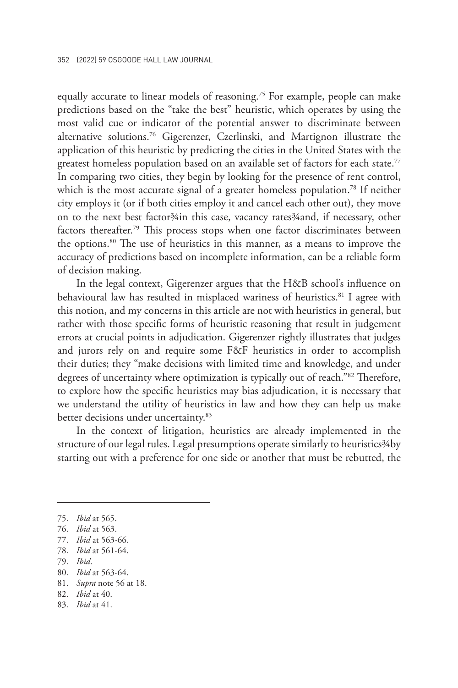equally accurate to linear models of reasoning.<sup>75</sup> For example, people can make predictions based on the "take the best" heuristic, which operates by using the most valid cue or indicator of the potential answer to discriminate between alternative solutions.76 Gigerenzer, Czerlinski, and Martignon illustrate the application of this heuristic by predicting the cities in the United States with the greatest homeless population based on an available set of factors for each state.<sup>77</sup> In comparing two cities, they begin by looking for the presence of rent control, which is the most accurate signal of a greater homeless population.<sup>78</sup> If neither city employs it (or if both cities employ it and cancel each other out), they move on to the next best factor¾in this case, vacancy rates¾and, if necessary, other factors thereafter.<sup>79</sup> This process stops when one factor discriminates between the options.80 The use of heuristics in this manner, as a means to improve the accuracy of predictions based on incomplete information, can be a reliable form of decision making.

In the legal context, Gigerenzer argues that the H&B school's influence on behavioural law has resulted in misplaced wariness of heuristics.<sup>81</sup> I agree with this notion, and my concerns in this article are not with heuristics in general, but rather with those specific forms of heuristic reasoning that result in judgement errors at crucial points in adjudication. Gigerenzer rightly illustrates that judges and jurors rely on and require some F&F heuristics in order to accomplish their duties; they "make decisions with limited time and knowledge, and under degrees of uncertainty where optimization is typically out of reach."82 Therefore, to explore how the specific heuristics may bias adjudication, it is necessary that we understand the utility of heuristics in law and how they can help us make better decisions under uncertainty.<sup>83</sup>

In the context of litigation, heuristics are already implemented in the structure of our legal rules. Legal presumptions operate similarly to heuristics 34by starting out with a preference for one side or another that must be rebutted, the

<sup>75.</sup> *Ibid* at 565.

<sup>76.</sup> *Ibid* at 563.

<sup>77.</sup> *Ibid* at 563-66.

<sup>78.</sup> *Ibid* at 561-64.

<sup>79.</sup> *Ibid*.

<sup>80.</sup> *Ibid* at 563-64.

<sup>81.</sup> *Supra* note 56 at 18.

<sup>82.</sup> *Ibid* at 40.

<sup>83.</sup> *Ibid* at 41.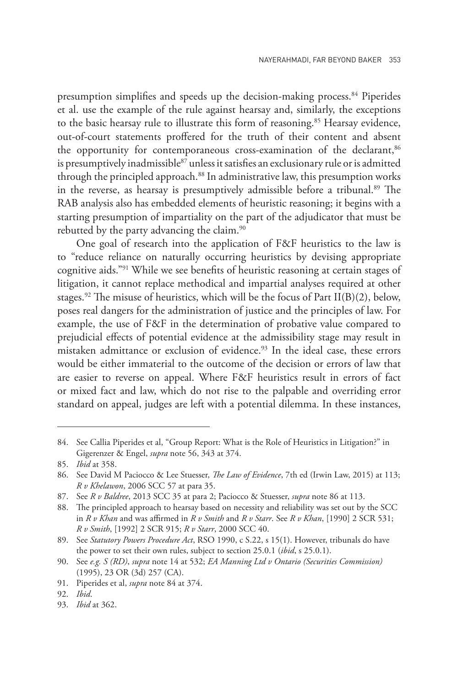presumption simplifies and speeds up the decision-making process.<sup>84</sup> Piperides et al. use the example of the rule against hearsay and, similarly, the exceptions to the basic hearsay rule to illustrate this form of reasoning.<sup>85</sup> Hearsay evidence, out-of-court statements proffered for the truth of their content and absent the opportunity for contemporaneous cross-examination of the declarant,<sup>86</sup> is presumptively inadmissible<sup>87</sup> unless it satisfies an exclusionary rule or is admitted through the principled approach.<sup>88</sup> In administrative law, this presumption works in the reverse, as hearsay is presumptively admissible before a tribunal.<sup>89</sup> The RAB analysis also has embedded elements of heuristic reasoning; it begins with a starting presumption of impartiality on the part of the adjudicator that must be rebutted by the party advancing the claim.<sup>90</sup>

One goal of research into the application of F&F heuristics to the law is to "reduce reliance on naturally occurring heuristics by devising appropriate cognitive aids."91 While we see benefits of heuristic reasoning at certain stages of litigation, it cannot replace methodical and impartial analyses required at other stages.<sup>92</sup> The misuse of heuristics, which will be the focus of Part II(B)(2), below, poses real dangers for the administration of justice and the principles of law. For example, the use of F&F in the determination of probative value compared to prejudicial effects of potential evidence at the admissibility stage may result in mistaken admittance or exclusion of evidence.<sup>93</sup> In the ideal case, these errors would be either immaterial to the outcome of the decision or errors of law that are easier to reverse on appeal. Where F&F heuristics result in errors of fact or mixed fact and law, which do not rise to the palpable and overriding error standard on appeal, judges are left with a potential dilemma. In these instances,

<sup>84.</sup> See Callia Piperides et al, "Group Report: What is the Role of Heuristics in Litigation?" in Gigerenzer & Engel, *supra* note 56, 343 at 374.

<sup>85.</sup> *Ibid* at 358.

<sup>86.</sup> See David M Paciocco & Lee Stuesser, *The Law of Evidence*, 7th ed (Irwin Law, 2015) at 113; *R v Khelawon*, 2006 SCC 57 at para 35.

<sup>87.</sup> See *R v Baldree*, 2013 SCC 35 at para 2; Paciocco & Stuesser, *supra* note 86 at 113.

<sup>88.</sup> The principled approach to hearsay based on necessity and reliability was set out by the SCC in *R v Khan* and was affirmed in *R v Smith* and *R v Starr*. See *R v Khan*, [1990] 2 SCR 531; *R v Smith*, [1992] 2 SCR 915; *R v Starr*, 2000 SCC 40.

<sup>89.</sup> See *Statutory Powers Procedure Act*, RSO 1990, c S.22, s 15(1). However, tribunals do have the power to set their own rules, subject to section 25.0.1 (*ibid*, s 25.0.1).

<sup>90.</sup> See *e.g. S (RD)*, *supra* note 14 at 532; *EA Manning Ltd v Ontario (Securities Commission)*  (1995), 23 OR (3d) 257 (CA).

<sup>91.</sup> Piperides et al, *supra* note 84 at 374.

<sup>92.</sup> *Ibid*.

<sup>93.</sup> *Ibid* at 362.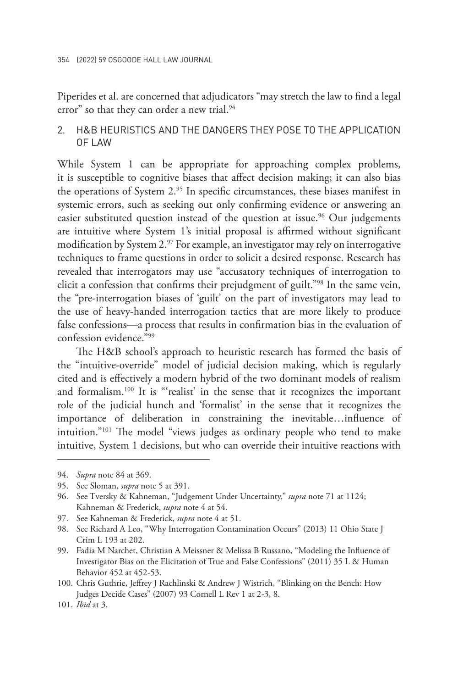Piperides et al. are concerned that adjudicators "may stretch the law to find a legal error" so that they can order a new trial.<sup>94</sup>

#### 2. H&B HEURISTICS AND THE DANGERS THEY POSE TO THE APPLICATION OF LAW

While System 1 can be appropriate for approaching complex problems, it is susceptible to cognitive biases that affect decision making; it can also bias the operations of System 2.<sup>95</sup> In specific circumstances, these biases manifest in systemic errors, such as seeking out only confirming evidence or answering an easier substituted question instead of the question at issue.<sup>96</sup> Our judgements are intuitive where System 1's initial proposal is affirmed without significant modification by System 2.<sup>97</sup> For example, an investigator may rely on interrogative techniques to frame questions in order to solicit a desired response. Research has revealed that interrogators may use "accusatory techniques of interrogation to elicit a confession that confirms their prejudgment of guilt."98 In the same vein, the "pre-interrogation biases of 'guilt' on the part of investigators may lead to the use of heavy-handed interrogation tactics that are more likely to produce false confessions—a process that results in confirmation bias in the evaluation of confession evidence."99

The H&B school's approach to heuristic research has formed the basis of the "intuitive-override" model of judicial decision making, which is regularly cited and is effectively a modern hybrid of the two dominant models of realism and formalism.100 It is "'realist' in the sense that it recognizes the important role of the judicial hunch and 'formalist' in the sense that it recognizes the importance of deliberation in constraining the inevitable…influence of intuition."101 The model "views judges as ordinary people who tend to make intuitive, System 1 decisions, but who can override their intuitive reactions with

<sup>94.</sup> *Supra* note 84 at 369.

<sup>95.</sup> See Sloman, *supra* note 5 at 391.

<sup>96.</sup> See Tversky & Kahneman, "Judgement Under Uncertainty," *supra* note 71 at 1124; Kahneman & Frederick, *supra* note 4 at 54.

<sup>97.</sup> See Kahneman & Frederick, *supra* note 4 at 51.

<sup>98.</sup> See Richard A Leo, "Why Interrogation Contamination Occurs" (2013) 11 Ohio State J Crim L 193 at 202.

<sup>99.</sup> Fadia M Narchet, Christian A Meissner & Melissa B Russano, "Modeling the Influence of Investigator Bias on the Elicitation of True and False Confessions" (2011) 35 L & Human Behavior 452 at 452-53.

<sup>100.</sup> Chris Guthrie, Jeffrey J Rachlinski & Andrew J Wistrich, "Blinking on the Bench: How Judges Decide Cases" (2007) 93 Cornell L Rev 1 at 2-3, 8.

<sup>101.</sup> *Ibid* at 3.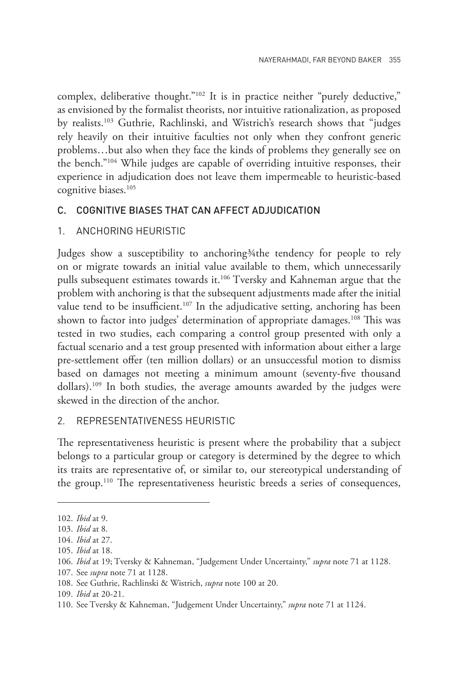complex, deliberative thought."<sup>102</sup> It is in practice neither "purely deductive," as envisioned by the formalist theorists, nor intuitive rationalization, as proposed by realists.103 Guthrie, Rachlinski, and Wistrich's research shows that "judges rely heavily on their intuitive faculties not only when they confront generic problems…but also when they face the kinds of problems they generally see on the bench."104 While judges are capable of overriding intuitive responses, their experience in adjudication does not leave them impermeable to heuristic-based cognitive biases.<sup>105</sup>

#### C. COGNITIVE BIASES THAT CAN AFFECT ADJUDICATION

#### 1. ANCHORING HEURISTIC

Judges show a susceptibility to anchoring 3/4the tendency for people to rely on or migrate towards an initial value available to them, which unnecessarily pulls subsequent estimates towards it.<sup>106</sup> Tversky and Kahneman argue that the problem with anchoring is that the subsequent adjustments made after the initial value tend to be insufficient.<sup>107</sup> In the adjudicative setting, anchoring has been shown to factor into judges' determination of appropriate damages.<sup>108</sup> This was tested in two studies, each comparing a control group presented with only a factual scenario and a test group presented with information about either a large pre-settlement offer (ten million dollars) or an unsuccessful motion to dismiss based on damages not meeting a minimum amount (seventy-five thousand dollars).109 In both studies, the average amounts awarded by the judges were skewed in the direction of the anchor.

#### 2. REPRESENTATIVENESS HEURISTIC

The representativeness heuristic is present where the probability that a subject belongs to a particular group or category is determined by the degree to which its traits are representative of, or similar to, our stereotypical understanding of the group.110 The representativeness heuristic breeds a series of consequences,

107. See *supra* note 71 at 1128.

<sup>102.</sup> *Ibid* at 9.

<sup>103.</sup> *Ibid* at 8.

<sup>104.</sup> *Ibid* at 27.

<sup>105.</sup> *Ibid* at 18.

<sup>106.</sup> *Ibid* at 19; Tversky & Kahneman, "Judgement Under Uncertainty," *supra* note 71 at 1128.

<sup>108.</sup> See Guthrie, Rachlinski & Wistrich, *supra* note 100 at 20.

<sup>109.</sup> *Ibid* at 20-21.

<sup>110.</sup> See Tversky & Kahneman, "Judgement Under Uncertainty," *supra* note 71 at 1124.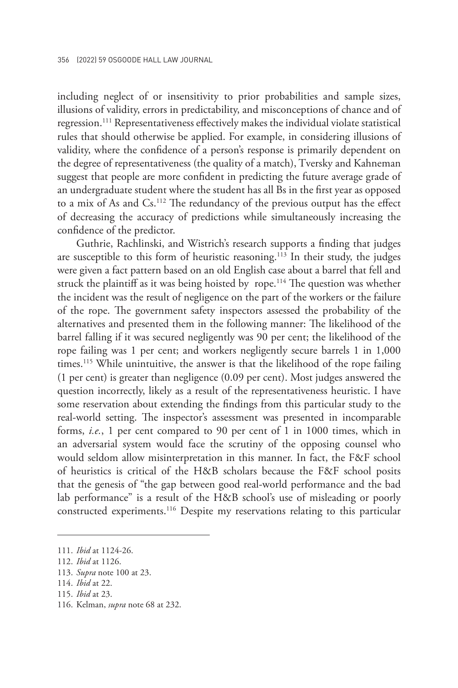including neglect of or insensitivity to prior probabilities and sample sizes, illusions of validity, errors in predictability, and misconceptions of chance and of regression.111 Representativeness effectively makes the individual violate statistical rules that should otherwise be applied. For example, in considering illusions of validity, where the confidence of a person's response is primarily dependent on the degree of representativeness (the quality of a match), Tversky and Kahneman suggest that people are more confident in predicting the future average grade of an undergraduate student where the student has all Bs in the first year as opposed to a mix of As and Cs.112 The redundancy of the previous output has the effect of decreasing the accuracy of predictions while simultaneously increasing the confidence of the predictor.

Guthrie, Rachlinski, and Wistrich's research supports a finding that judges are susceptible to this form of heuristic reasoning.<sup>113</sup> In their study, the judges were given a fact pattern based on an old English case about a barrel that fell and struck the plaintiff as it was being hoisted by rope.<sup>114</sup> The question was whether the incident was the result of negligence on the part of the workers or the failure of the rope. The government safety inspectors assessed the probability of the alternatives and presented them in the following manner: The likelihood of the barrel falling if it was secured negligently was 90 per cent; the likelihood of the rope failing was 1 per cent; and workers negligently secure barrels 1 in 1,000 times.<sup>115</sup> While unintuitive, the answer is that the likelihood of the rope failing (1 per cent) is greater than negligence (0.09 per cent). Most judges answered the question incorrectly, likely as a result of the representativeness heuristic. I have some reservation about extending the findings from this particular study to the real-world setting. The inspector's assessment was presented in incomparable forms, *i.e.*, 1 per cent compared to 90 per cent of 1 in 1000 times, which in an adversarial system would face the scrutiny of the opposing counsel who would seldom allow misinterpretation in this manner. In fact, the F&F school of heuristics is critical of the H&B scholars because the F&F school posits that the genesis of "the gap between good real-world performance and the bad lab performance" is a result of the H&B school's use of misleading or poorly constructed experiments.116 Despite my reservations relating to this particular

<sup>111.</sup> *Ibid* at 1124-26.

<sup>112.</sup> *Ibid* at 1126.

<sup>113.</sup> *Supra* note 100 at 23.

<sup>114.</sup> *Ibid* at 22.

<sup>115.</sup> *Ibid* at 23.

<sup>116.</sup> Kelman, *supra* note 68 at 232.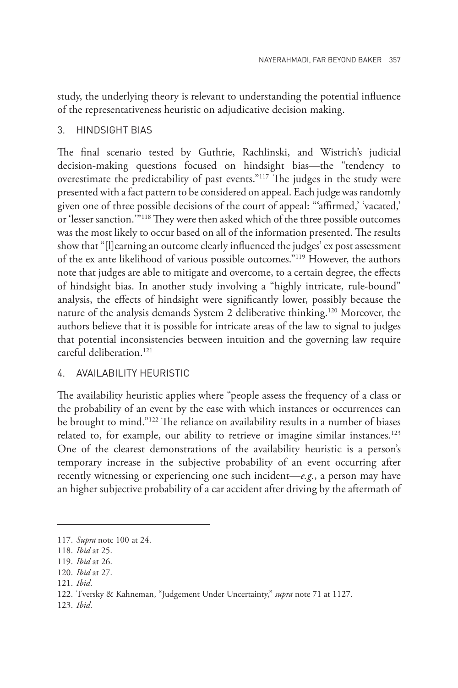study, the underlying theory is relevant to understanding the potential influence of the representativeness heuristic on adjudicative decision making.

#### 3. HINDSIGHT BIAS

The final scenario tested by Guthrie, Rachlinski, and Wistrich's judicial decision-making questions focused on hindsight bias—the "tendency to overestimate the predictability of past events."117 The judges in the study were presented with a fact pattern to be considered on appeal. Each judge was randomly given one of three possible decisions of the court of appeal: "'affirmed,' 'vacated,' or 'lesser sanction.'"118 They were then asked which of the three possible outcomes was the most likely to occur based on all of the information presented. The results show that "[l]earning an outcome clearly influenced the judges' ex post assessment of the ex ante likelihood of various possible outcomes."119 However, the authors note that judges are able to mitigate and overcome, to a certain degree, the effects of hindsight bias. In another study involving a "highly intricate, rule-bound" analysis, the effects of hindsight were significantly lower, possibly because the nature of the analysis demands System 2 deliberative thinking.120 Moreover, the authors believe that it is possible for intricate areas of the law to signal to judges that potential inconsistencies between intuition and the governing law require careful deliberation.121

#### 4. AVAILABILITY HEURISTIC

The availability heuristic applies where "people assess the frequency of a class or the probability of an event by the ease with which instances or occurrences can be brought to mind."122 The reliance on availability results in a number of biases related to, for example, our ability to retrieve or imagine similar instances.<sup>123</sup> One of the clearest demonstrations of the availability heuristic is a person's temporary increase in the subjective probability of an event occurring after recently witnessing or experiencing one such incident—*e.g.*, a person may have an higher subjective probability of a car accident after driving by the aftermath of

<sup>117.</sup> *Supra* note 100 at 24.

<sup>118.</sup> *Ibid* at 25.

<sup>119.</sup> *Ibid* at 26.

<sup>120.</sup> *Ibid* at 27.

<sup>121.</sup> *Ibid*.

<sup>122.</sup> Tversky & Kahneman, "Judgement Under Uncertainty," *supra* note 71 at 1127.

<sup>123.</sup> *Ibid*.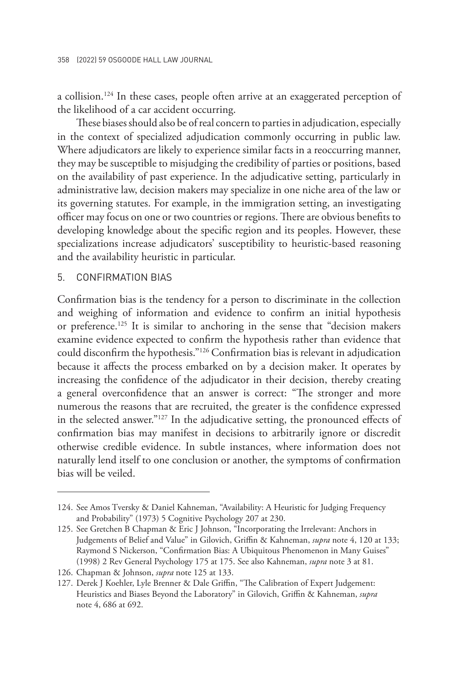a collision.<sup>124</sup> In these cases, people often arrive at an exaggerated perception of the likelihood of a car accident occurring.

These biases should also be of real concern to parties in adjudication, especially in the context of specialized adjudication commonly occurring in public law. Where adjudicators are likely to experience similar facts in a reoccurring manner, they may be susceptible to misjudging the credibility of parties or positions, based on the availability of past experience. In the adjudicative setting, particularly in administrative law, decision makers may specialize in one niche area of the law or its governing statutes. For example, in the immigration setting, an investigating officer may focus on one or two countries or regions. There are obvious benefits to developing knowledge about the specific region and its peoples. However, these specializations increase adjudicators' susceptibility to heuristic-based reasoning and the availability heuristic in particular.

#### 5. CONFIRMATION BIAS

Confirmation bias is the tendency for a person to discriminate in the collection and weighing of information and evidence to confirm an initial hypothesis or preference.125 It is similar to anchoring in the sense that "decision makers examine evidence expected to confirm the hypothesis rather than evidence that could disconfirm the hypothesis."126 Confirmation bias is relevant in adjudication because it affects the process embarked on by a decision maker. It operates by increasing the confidence of the adjudicator in their decision, thereby creating a general overconfidence that an answer is correct: "The stronger and more numerous the reasons that are recruited, the greater is the confidence expressed in the selected answer."127 In the adjudicative setting, the pronounced effects of confirmation bias may manifest in decisions to arbitrarily ignore or discredit otherwise credible evidence. In subtle instances, where information does not naturally lend itself to one conclusion or another, the symptoms of confirmation bias will be veiled.

<sup>124.</sup> See Amos Tversky & Daniel Kahneman, "Availability: A Heuristic for Judging Frequency and Probability" (1973) 5 Cognitive Psychology 207 at 230.

<sup>125.</sup> See Gretchen B Chapman & Eric J Johnson, "Incorporating the Irrelevant: Anchors in Judgements of Belief and Value" in Gilovich, Griffin & Kahneman, *supra* note 4, 120 at 133; Raymond S Nickerson, "Confirmation Bias: A Ubiquitous Phenomenon in Many Guises" (1998) 2 Rev General Psychology 175 at 175. See also Kahneman, *supra* note 3 at 81.

<sup>126.</sup> Chapman & Johnson, *supra* note 125 at 133.

<sup>127.</sup> Derek J Koehler, Lyle Brenner & Dale Griffin, "The Calibration of Expert Judgement: Heuristics and Biases Beyond the Laboratory" in Gilovich, Griffin & Kahneman, *supra* note 4, 686 at 692.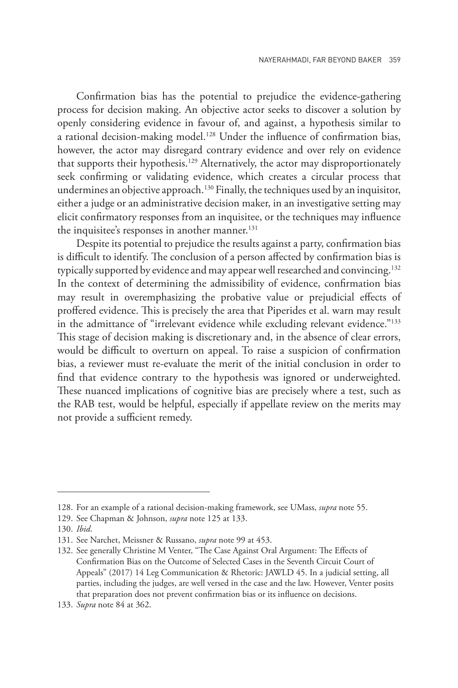Confirmation bias has the potential to prejudice the evidence-gathering process for decision making. An objective actor seeks to discover a solution by openly considering evidence in favour of, and against, a hypothesis similar to a rational decision-making model.<sup>128</sup> Under the influence of confirmation bias, however, the actor may disregard contrary evidence and over rely on evidence that supports their hypothesis.<sup>129</sup> Alternatively, the actor may disproportionately seek confirming or validating evidence, which creates a circular process that undermines an objective approach.<sup>130</sup> Finally, the techniques used by an inquisitor, either a judge or an administrative decision maker, in an investigative setting may elicit confirmatory responses from an inquisitee, or the techniques may influence the inquisitee's responses in another manner.<sup>131</sup>

Despite its potential to prejudice the results against a party, confirmation bias is difficult to identify. The conclusion of a person affected by confirmation bias is typically supported by evidence and may appear well researched and convincing.<sup>132</sup> In the context of determining the admissibility of evidence, confirmation bias may result in overemphasizing the probative value or prejudicial effects of proffered evidence. This is precisely the area that Piperides et al. warn may result in the admittance of "irrelevant evidence while excluding relevant evidence."<sup>133</sup> This stage of decision making is discretionary and, in the absence of clear errors, would be difficult to overturn on appeal. To raise a suspicion of confirmation bias, a reviewer must re-evaluate the merit of the initial conclusion in order to find that evidence contrary to the hypothesis was ignored or underweighted. These nuanced implications of cognitive bias are precisely where a test, such as the RAB test, would be helpful, especially if appellate review on the merits may not provide a sufficient remedy.

<sup>128.</sup> For an example of a rational decision-making framework, see UMass, *supra* note 55.

<sup>129.</sup> See Chapman & Johnson, *supra* note 125 at 133.

<sup>130.</sup> *Ibid*.

<sup>131.</sup> See Narchet, Meissner & Russano, *supra* note 99 at 453.

<sup>132.</sup> See generally Christine M Venter, "The Case Against Oral Argument: The Effects of Confirmation Bias on the Outcome of Selected Cases in the Seventh Circuit Court of Appeals" (2017) 14 Leg Communication & Rhetoric: JAWLD 45. In a judicial setting, all parties, including the judges, are well versed in the case and the law. However, Venter posits that preparation does not prevent confirmation bias or its influence on decisions.

<sup>133.</sup> *Supra* note 84 at 362.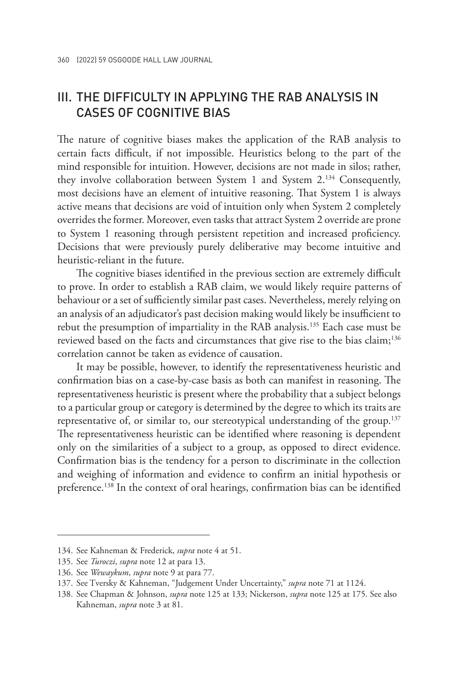## III. THE DIFFICULTY IN APPLYING THE RAB ANALYSIS IN CASES OF COGNITIVE BIAS

The nature of cognitive biases makes the application of the RAB analysis to certain facts difficult, if not impossible. Heuristics belong to the part of the mind responsible for intuition. However, decisions are not made in silos; rather, they involve collaboration between System 1 and System 2.134 Consequently, most decisions have an element of intuitive reasoning. That System 1 is always active means that decisions are void of intuition only when System 2 completely overrides the former. Moreover, even tasks that attract System 2 override are prone to System 1 reasoning through persistent repetition and increased proficiency. Decisions that were previously purely deliberative may become intuitive and heuristic-reliant in the future.

The cognitive biases identified in the previous section are extremely difficult to prove. In order to establish a RAB claim, we would likely require patterns of behaviour or a set of sufficiently similar past cases. Nevertheless, merely relying on an analysis of an adjudicator's past decision making would likely be insufficient to rebut the presumption of impartiality in the RAB analysis.135 Each case must be reviewed based on the facts and circumstances that give rise to the bias claim;<sup>136</sup> correlation cannot be taken as evidence of causation.

It may be possible, however, to identify the representativeness heuristic and confirmation bias on a case-by-case basis as both can manifest in reasoning. The representativeness heuristic is present where the probability that a subject belongs to a particular group or category is determined by the degree to which its traits are representative of, or similar to, our stereotypical understanding of the group.<sup>137</sup> The representativeness heuristic can be identified where reasoning is dependent only on the similarities of a subject to a group, as opposed to direct evidence. Confirmation bias is the tendency for a person to discriminate in the collection and weighing of information and evidence to confirm an initial hypothesis or preference.138 In the context of oral hearings, confirmation bias can be identified

<sup>134.</sup> See Kahneman & Frederick, *supra* note 4 at 51.

<sup>135.</sup> See *Turoczi*, *supra* note 12 at para 13.

<sup>136.</sup> See *Wewaykum*, *supra* note 9 at para 77.

<sup>137.</sup> See Tversky & Kahneman, "Judgement Under Uncertainty," *supra* note 71 at 1124.

<sup>138.</sup> See Chapman & Johnson, *supra* note 125 at 133; Nickerson, *supra* note 125 at 175. See also Kahneman, *supra* note 3 at 81.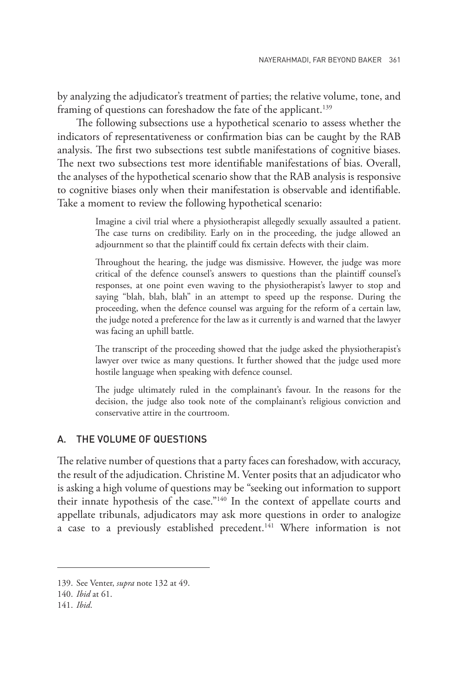by analyzing the adjudicator's treatment of parties; the relative volume, tone, and framing of questions can foreshadow the fate of the applicant.<sup>139</sup>

The following subsections use a hypothetical scenario to assess whether the indicators of representativeness or confirmation bias can be caught by the RAB analysis. The first two subsections test subtle manifestations of cognitive biases. The next two subsections test more identifiable manifestations of bias. Overall, the analyses of the hypothetical scenario show that the RAB analysis is responsive to cognitive biases only when their manifestation is observable and identifiable. Take a moment to review the following hypothetical scenario:

> Imagine a civil trial where a physiotherapist allegedly sexually assaulted a patient. The case turns on credibility. Early on in the proceeding, the judge allowed an adjournment so that the plaintiff could fix certain defects with their claim.

> Throughout the hearing, the judge was dismissive. However, the judge was more critical of the defence counsel's answers to questions than the plaintiff counsel's responses, at one point even waving to the physiotherapist's lawyer to stop and saying "blah, blah, blah" in an attempt to speed up the response. During the proceeding, when the defence counsel was arguing for the reform of a certain law, the judge noted a preference for the law as it currently is and warned that the lawyer was facing an uphill battle.

> The transcript of the proceeding showed that the judge asked the physiotherapist's lawyer over twice as many questions. It further showed that the judge used more hostile language when speaking with defence counsel.

> The judge ultimately ruled in the complainant's favour. In the reasons for the decision, the judge also took note of the complainant's religious conviction and conservative attire in the courtroom.

#### A. THE VOLUME OF QUESTIONS

The relative number of questions that a party faces can foreshadow, with accuracy, the result of the adjudication. Christine M. Venter posits that an adjudicator who is asking a high volume of questions may be "seeking out information to support their innate hypothesis of the case."140 In the context of appellate courts and appellate tribunals, adjudicators may ask more questions in order to analogize a case to a previously established precedent.<sup>141</sup> Where information is not

<sup>139.</sup> See Venter, *supra* note 132 at 49.

<sup>140.</sup> *Ibid* at 61.

<sup>141.</sup> *Ibid*.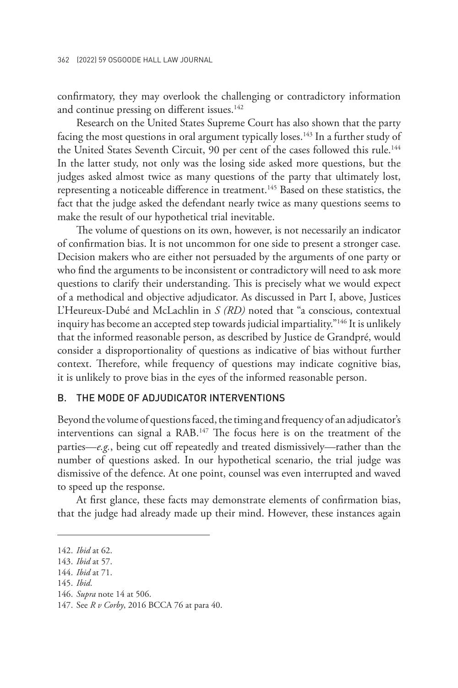confirmatory, they may overlook the challenging or contradictory information and continue pressing on different issues.<sup>142</sup>

Research on the United States Supreme Court has also shown that the party facing the most questions in oral argument typically loses.<sup>143</sup> In a further study of the United States Seventh Circuit, 90 per cent of the cases followed this rule.<sup>144</sup> In the latter study, not only was the losing side asked more questions, but the judges asked almost twice as many questions of the party that ultimately lost, representing a noticeable difference in treatment.145 Based on these statistics, the fact that the judge asked the defendant nearly twice as many questions seems to make the result of our hypothetical trial inevitable.

The volume of questions on its own, however, is not necessarily an indicator of confirmation bias. It is not uncommon for one side to present a stronger case. Decision makers who are either not persuaded by the arguments of one party or who find the arguments to be inconsistent or contradictory will need to ask more questions to clarify their understanding. This is precisely what we would expect of a methodical and objective adjudicator. As discussed in Part I, above, Justices L'Heureux-Dubé and McLachlin in *S (RD)* noted that "a conscious, contextual inquiry has become an accepted step towards judicial impartiality."146 It is unlikely that the informed reasonable person, as described by Justice de Grandpré, would consider a disproportionality of questions as indicative of bias without further context. Therefore, while frequency of questions may indicate cognitive bias, it is unlikely to prove bias in the eyes of the informed reasonable person.

#### B. THE MODE OF ADJUDICATOR INTERVENTIONS

Beyond the volume of questions faced, the timing and frequency of an adjudicator's interventions can signal a RAB.147 The focus here is on the treatment of the parties—*e.g.*, being cut off repeatedly and treated dismissively—rather than the number of questions asked. In our hypothetical scenario, the trial judge was dismissive of the defence. At one point, counsel was even interrupted and waved to speed up the response.

At first glance, these facts may demonstrate elements of confirmation bias, that the judge had already made up their mind. However, these instances again

<sup>142.</sup> *Ibid* at 62.

<sup>143.</sup> *Ibid* at 57.

<sup>144.</sup> *Ibid* at 71.

<sup>145.</sup> *Ibid*.

<sup>146.</sup> *Supra* note 14 at 506.

<sup>147.</sup> See *R v Corby*, 2016 BCCA 76 at para 40.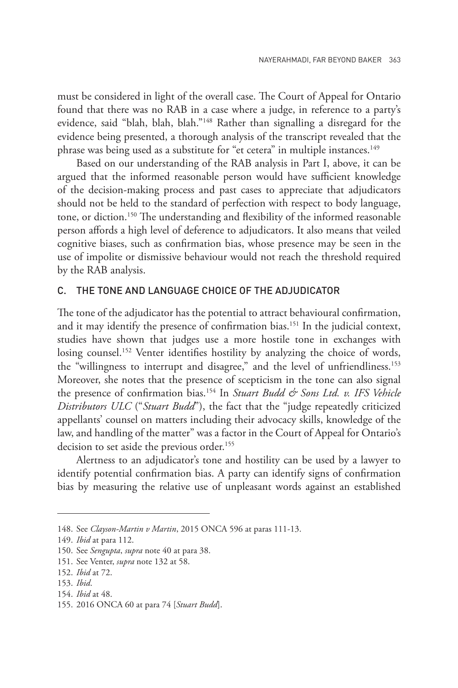must be considered in light of the overall case. The Court of Appeal for Ontario found that there was no RAB in a case where a judge, in reference to a party's evidence, said "blah, blah, blah."148 Rather than signalling a disregard for the evidence being presented, a thorough analysis of the transcript revealed that the phrase was being used as a substitute for "et cetera" in multiple instances.<sup>149</sup>

Based on our understanding of the RAB analysis in Part I, above, it can be argued that the informed reasonable person would have sufficient knowledge of the decision-making process and past cases to appreciate that adjudicators should not be held to the standard of perfection with respect to body language, tone, or diction.150 The understanding and flexibility of the informed reasonable person affords a high level of deference to adjudicators. It also means that veiled cognitive biases, such as confirmation bias, whose presence may be seen in the use of impolite or dismissive behaviour would not reach the threshold required by the RAB analysis.

#### C. THE TONE AND LANGUAGE CHOICE OF THE ADJUDICATOR

The tone of the adjudicator has the potential to attract behavioural confirmation, and it may identify the presence of confirmation bias.<sup>151</sup> In the judicial context, studies have shown that judges use a more hostile tone in exchanges with losing counsel.<sup>152</sup> Venter identifies hostility by analyzing the choice of words, the "willingness to interrupt and disagree," and the level of unfriendliness.<sup>153</sup> Moreover, she notes that the presence of scepticism in the tone can also signal the presence of confirmation bias.154 In *Stuart Budd & Sons Ltd. v. IFS Vehicle Distributors ULC* ("*Stuart Budd*"), the fact that the "judge repeatedly criticized appellants' counsel on matters including their advocacy skills, knowledge of the law, and handling of the matter" was a factor in the Court of Appeal for Ontario's decision to set aside the previous order.<sup>155</sup>

Alertness to an adjudicator's tone and hostility can be used by a lawyer to identify potential confirmation bias. A party can identify signs of confirmation bias by measuring the relative use of unpleasant words against an established

152. *Ibid* at 72.

<sup>148.</sup> See *Clayson-Martin v Martin*, 2015 ONCA 596 at paras 111-13.

<sup>149.</sup> *Ibid* at para 112.

<sup>150.</sup> See *Sengupta*, *supra* note 40 at para 38.

<sup>151.</sup> See Venter, *supra* note 132 at 58.

<sup>153.</sup> *Ibid*.

<sup>154.</sup> *Ibid* at 48.

<sup>155.</sup> 2016 ONCA 60 at para 74 [*Stuart Budd*].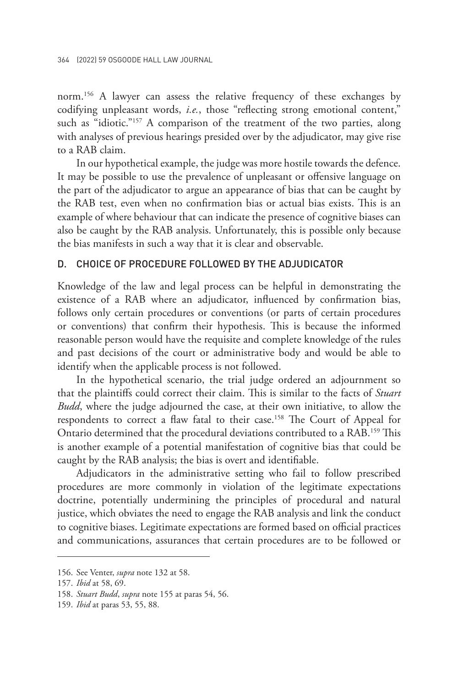norm.156 A lawyer can assess the relative frequency of these exchanges by codifying unpleasant words, *i.e.*, those "reflecting strong emotional content," such as "idiotic."<sup>157</sup> A comparison of the treatment of the two parties, along with analyses of previous hearings presided over by the adjudicator, may give rise to a RAB claim.

In our hypothetical example, the judge was more hostile towards the defence. It may be possible to use the prevalence of unpleasant or offensive language on the part of the adjudicator to argue an appearance of bias that can be caught by the RAB test, even when no confirmation bias or actual bias exists. This is an example of where behaviour that can indicate the presence of cognitive biases can also be caught by the RAB analysis. Unfortunately, this is possible only because the bias manifests in such a way that it is clear and observable.

#### D. CHOICE OF PROCEDURE FOLLOWED BY THE ADJUDICATOR

Knowledge of the law and legal process can be helpful in demonstrating the existence of a RAB where an adjudicator, influenced by confirmation bias, follows only certain procedures or conventions (or parts of certain procedures or conventions) that confirm their hypothesis. This is because the informed reasonable person would have the requisite and complete knowledge of the rules and past decisions of the court or administrative body and would be able to identify when the applicable process is not followed.

In the hypothetical scenario, the trial judge ordered an adjournment so that the plaintiffs could correct their claim. This is similar to the facts of *Stuart Budd*, where the judge adjourned the case, at their own initiative, to allow the respondents to correct a flaw fatal to their case.<sup>158</sup> The Court of Appeal for Ontario determined that the procedural deviations contributed to a RAB.159 This is another example of a potential manifestation of cognitive bias that could be caught by the RAB analysis; the bias is overt and identifiable.

Adjudicators in the administrative setting who fail to follow prescribed procedures are more commonly in violation of the legitimate expectations doctrine, potentially undermining the principles of procedural and natural justice, which obviates the need to engage the RAB analysis and link the conduct to cognitive biases. Legitimate expectations are formed based on official practices and communications, assurances that certain procedures are to be followed or

<sup>156.</sup> See Venter, *supra* note 132 at 58.

<sup>157.</sup> *Ibid* at 58, 69.

<sup>158.</sup> *Stuart Budd*, *supra* note 155 at paras 54, 56.

<sup>159.</sup> *Ibid* at paras 53, 55, 88.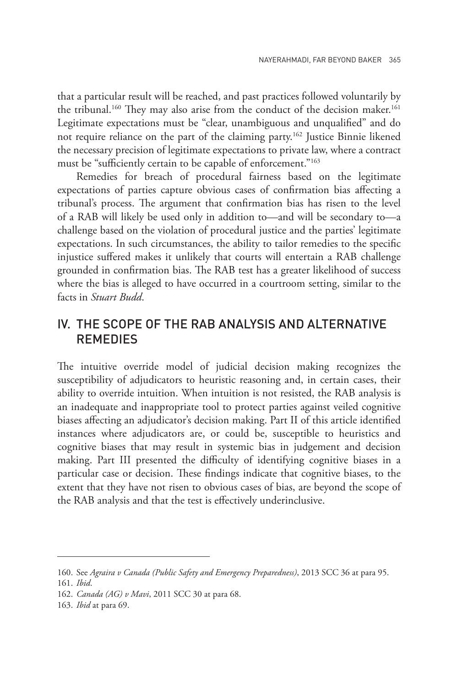that a particular result will be reached, and past practices followed voluntarily by the tribunal.<sup>160</sup> They may also arise from the conduct of the decision maker.<sup>161</sup> Legitimate expectations must be "clear, unambiguous and unqualified" and do not require reliance on the part of the claiming party.162 Justice Binnie likened the necessary precision of legitimate expectations to private law, where a contract must be "sufficiently certain to be capable of enforcement."163

Remedies for breach of procedural fairness based on the legitimate expectations of parties capture obvious cases of confirmation bias affecting a tribunal's process. The argument that confirmation bias has risen to the level of a RAB will likely be used only in addition to—and will be secondary to—a challenge based on the violation of procedural justice and the parties' legitimate expectations. In such circumstances, the ability to tailor remedies to the specific injustice suffered makes it unlikely that courts will entertain a RAB challenge grounded in confirmation bias. The RAB test has a greater likelihood of success where the bias is alleged to have occurred in a courtroom setting, similar to the facts in *Stuart Budd*.

## IV. THE SCOPE OF THE RAB ANALYSIS AND ALTERNATIVE REMEDIES

The intuitive override model of judicial decision making recognizes the susceptibility of adjudicators to heuristic reasoning and, in certain cases, their ability to override intuition. When intuition is not resisted, the RAB analysis is an inadequate and inappropriate tool to protect parties against veiled cognitive biases affecting an adjudicator's decision making. Part II of this article identified instances where adjudicators are, or could be, susceptible to heuristics and cognitive biases that may result in systemic bias in judgement and decision making. Part III presented the difficulty of identifying cognitive biases in a particular case or decision. These findings indicate that cognitive biases, to the extent that they have not risen to obvious cases of bias, are beyond the scope of the RAB analysis and that the test is effectively underinclusive.

<sup>160.</sup> See *Agraira v Canada (Public Safety and Emergency Preparedness)*, 2013 SCC 36 at para 95.

<sup>161.</sup> *Ibid*.

<sup>162.</sup> *Canada (AG) v Mavi*, 2011 SCC 30 at para 68.

<sup>163.</sup> *Ibid* at para 69.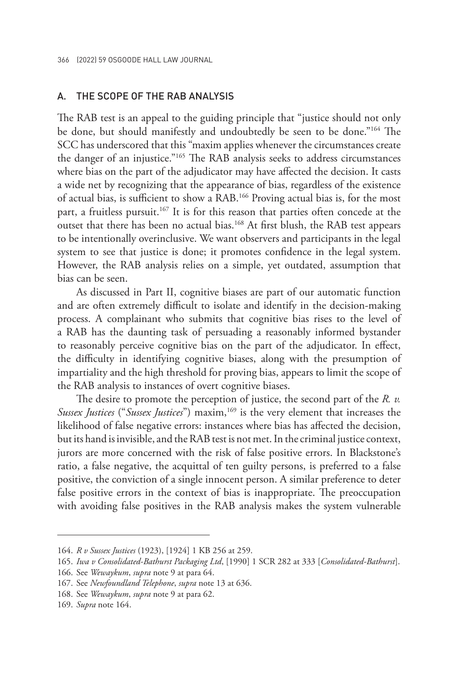#### A. THE SCOPE OF THE RAB ANALYSIS

The RAB test is an appeal to the guiding principle that "justice should not only be done, but should manifestly and undoubtedly be seen to be done."164 The SCC has underscored that this "maxim applies whenever the circumstances create the danger of an injustice."165 The RAB analysis seeks to address circumstances where bias on the part of the adjudicator may have affected the decision. It casts a wide net by recognizing that the appearance of bias, regardless of the existence of actual bias, is sufficient to show a RAB.166 Proving actual bias is, for the most part, a fruitless pursuit.<sup>167</sup> It is for this reason that parties often concede at the outset that there has been no actual bias.168 At first blush, the RAB test appears to be intentionally overinclusive. We want observers and participants in the legal system to see that justice is done; it promotes confidence in the legal system. However, the RAB analysis relies on a simple, yet outdated, assumption that bias can be seen.

As discussed in Part II, cognitive biases are part of our automatic function and are often extremely difficult to isolate and identify in the decision-making process. A complainant who submits that cognitive bias rises to the level of a RAB has the daunting task of persuading a reasonably informed bystander to reasonably perceive cognitive bias on the part of the adjudicator. In effect, the difficulty in identifying cognitive biases, along with the presumption of impartiality and the high threshold for proving bias, appears to limit the scope of the RAB analysis to instances of overt cognitive biases.

The desire to promote the perception of justice, the second part of the *R. v. Sussex Justices* ("*Sussex Justices*") maxim,<sup>169</sup> is the very element that increases the likelihood of false negative errors: instances where bias has affected the decision, but its hand is invisible, and the RAB test is not met. In the criminal justice context, jurors are more concerned with the risk of false positive errors. In Blackstone's ratio, a false negative, the acquittal of ten guilty persons, is preferred to a false positive, the conviction of a single innocent person. A similar preference to deter false positive errors in the context of bias is inappropriate. The preoccupation with avoiding false positives in the RAB analysis makes the system vulnerable

<sup>164.</sup> *R v Sussex Justices* (1923), [1924] 1 KB 256 at 259.

<sup>165.</sup> *Iwa v Consolidated-Bathurst Packaging Ltd*, [1990] 1 SCR 282 at 333 [*Consolidated-Bathurst*].

<sup>166.</sup> See *Wewaykum*, *supra* note 9 at para 64.

<sup>167.</sup> See *Newfoundland Telephone*, *supra* note 13 at 636.

<sup>168.</sup> See *Wewaykum*, *supra* note 9 at para 62.

<sup>169.</sup> *Supra* note 164.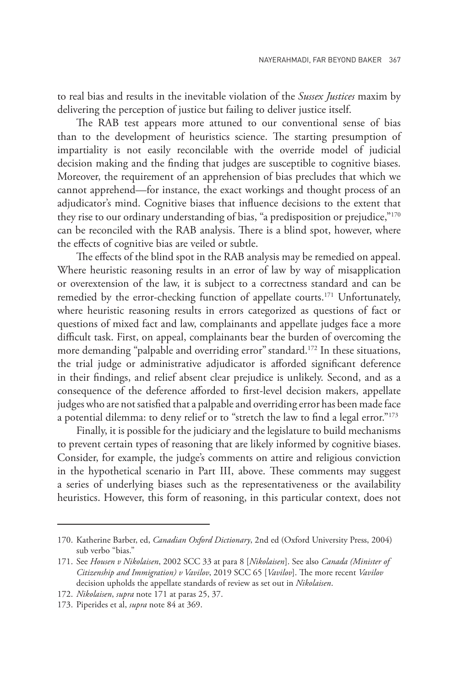to real bias and results in the inevitable violation of the *Sussex Justices* maxim by delivering the perception of justice but failing to deliver justice itself.

The RAB test appears more attuned to our conventional sense of bias than to the development of heuristics science. The starting presumption of impartiality is not easily reconcilable with the override model of judicial decision making and the finding that judges are susceptible to cognitive biases. Moreover, the requirement of an apprehension of bias precludes that which we cannot apprehend—for instance, the exact workings and thought process of an adjudicator's mind. Cognitive biases that influence decisions to the extent that they rise to our ordinary understanding of bias, "a predisposition or prejudice,"<sup>170</sup> can be reconciled with the RAB analysis. There is a blind spot, however, where the effects of cognitive bias are veiled or subtle.

The effects of the blind spot in the RAB analysis may be remedied on appeal. Where heuristic reasoning results in an error of law by way of misapplication or overextension of the law, it is subject to a correctness standard and can be remedied by the error-checking function of appellate courts.<sup>171</sup> Unfortunately, where heuristic reasoning results in errors categorized as questions of fact or questions of mixed fact and law, complainants and appellate judges face a more difficult task. First, on appeal, complainants bear the burden of overcoming the more demanding "palpable and overriding error" standard.<sup>172</sup> In these situations, the trial judge or administrative adjudicator is afforded significant deference in their findings, and relief absent clear prejudice is unlikely. Second, and as a consequence of the deference afforded to first-level decision makers, appellate judges who are not satisfied that a palpable and overriding error has been made face a potential dilemma: to deny relief or to "stretch the law to find a legal error."<sup>173</sup>

Finally, it is possible for the judiciary and the legislature to build mechanisms to prevent certain types of reasoning that are likely informed by cognitive biases. Consider, for example, the judge's comments on attire and religious conviction in the hypothetical scenario in Part III, above. These comments may suggest a series of underlying biases such as the representativeness or the availability heuristics. However, this form of reasoning, in this particular context, does not

<sup>170.</sup> Katherine Barber, ed, *Canadian Oxford Dictionary*, 2nd ed (Oxford University Press, 2004) sub verbo "bias."

<sup>171.</sup> See *Housen v Nikolaisen*, 2002 SCC 33 at para 8 [*Nikolaisen*]. See also *Canada (Minister of Citizenship and Immigration) v Vavilov*, 2019 SCC 65 [*Vavilov*]. The more recent *Vavilov* decision upholds the appellate standards of review as set out in *Nikolaisen*.

<sup>172.</sup> *Nikolaisen*, *supra* note 171 at paras 25, 37.

<sup>173.</sup> Piperides et al, *supra* note 84 at 369.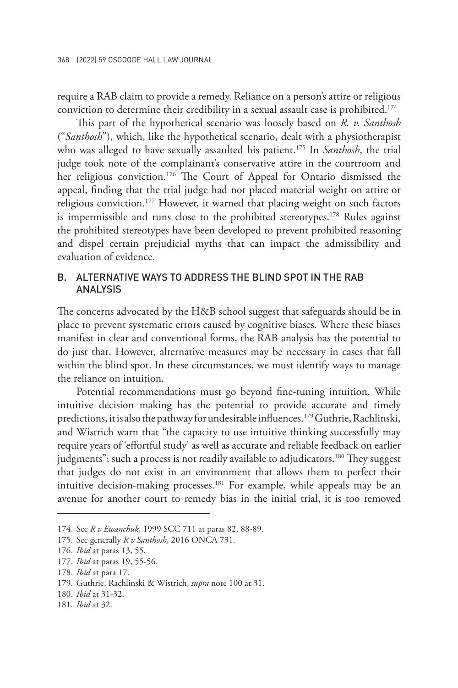require a RAB claim to provide a remedy. Reliance on a person's attire or religious conviction to determine their credibility in a sexual assault case is prohibited.<sup>174</sup>

This part of the hypothetical scenario was loosely based on *R. v. Santhosh*  ("*Santhosh*"), which, like the hypothetical scenario, dealt with a physiotherapist who was alleged to have sexually assaulted his patient.<sup>175</sup> In *Santhosh*, the trial judge took note of the complainant's conservative attire in the courtroom and her religious conviction.<sup>176</sup> The Court of Appeal for Ontario dismissed the appeal, finding that the trial judge had not placed material weight on attire or religious conviction.<sup>177</sup> However, it warned that placing weight on such factors is impermissible and runs close to the prohibited stereotypes.<sup>178</sup> Rules against the prohibited stereotypes have been developed to prevent prohibited reasoning and dispel certain prejudicial myths that can impact the admissibility and evaluation of evidence.

#### B. ALTERNATIVE WAYS TO ADDRESS THE BLIND SPOT IN THE RAB ANALYSIS

The concerns advocated by the H&B school suggest that safeguards should be in place to prevent systematic errors caused by cognitive biases. Where these biases manifest in clear and conventional forms, the RAB analysis has the potential to do just that. However, alternative measures may be necessary in cases that fall within the blind spot. In these circumstances, we must identify ways to manage the reliance on intuition.

Potential recommendations must go beyond fine-tuning intuition. While intuitive decision making has the potential to provide accurate and timely predictions, it is also the pathway for undesirable influences.<sup>179</sup> Guthrie, Rachlinski, and Wistrich warn that "the capacity to use intuitive thinking successfully may require years of 'effortful study' as well as accurate and reliable feedback on earlier judgments"; such a process is not readily available to adjudicators.<sup>180</sup> They suggest that judges do not exist in an environment that allows them to perfect their intuitive decision-making processes.<sup>181</sup> For example, while appeals may be an avenue for another court to remedy bias in the initial trial, it is too removed

<sup>174.</sup> See *R v Ewanchuk*, 1999 SCC 711 at paras 82, 88-89.

<sup>175.</sup> See generally *R v Santhosh*, 2016 ONCA 731.

<sup>176.</sup> *Ibid* at paras 13, 55.

<sup>177.</sup> *Ibid* at paras 19, 55-56.

<sup>178.</sup> *Ibid* at para 17.

<sup>179.</sup> Guthrie, Rachlinski & Wistrich, *supra* note 100 at 31.

<sup>180.</sup> *Ibid* at 31-32.

<sup>181.</sup> *Ibid* at 32.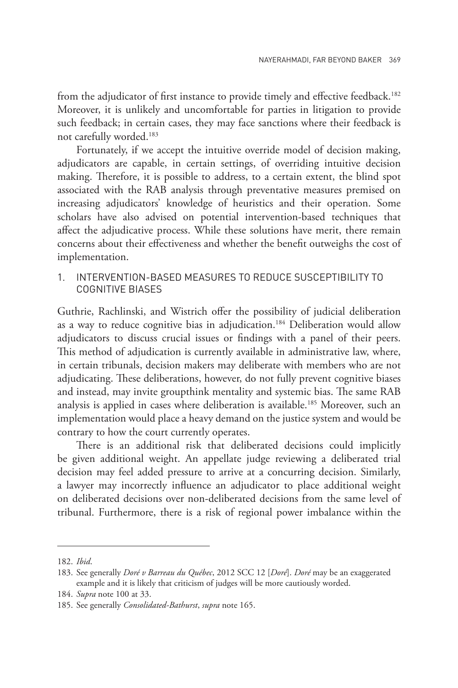from the adjudicator of first instance to provide timely and effective feedback.<sup>182</sup> Moreover, it is unlikely and uncomfortable for parties in litigation to provide such feedback; in certain cases, they may face sanctions where their feedback is not carefully worded.183

Fortunately, if we accept the intuitive override model of decision making, adjudicators are capable, in certain settings, of overriding intuitive decision making. Therefore, it is possible to address, to a certain extent, the blind spot associated with the RAB analysis through preventative measures premised on increasing adjudicators' knowledge of heuristics and their operation. Some scholars have also advised on potential intervention-based techniques that affect the adjudicative process. While these solutions have merit, there remain concerns about their effectiveness and whether the benefit outweighs the cost of implementation.

#### 1. INTERVENTION-BASED MEASURES TO REDUCE SUSCEPTIBILITY TO COGNITIVE BIASES

Guthrie, Rachlinski, and Wistrich offer the possibility of judicial deliberation as a way to reduce cognitive bias in adjudication.<sup>184</sup> Deliberation would allow adjudicators to discuss crucial issues or findings with a panel of their peers. This method of adjudication is currently available in administrative law, where, in certain tribunals, decision makers may deliberate with members who are not adjudicating. These deliberations, however, do not fully prevent cognitive biases and instead, may invite groupthink mentality and systemic bias. The same RAB analysis is applied in cases where deliberation is available.185 Moreover, such an implementation would place a heavy demand on the justice system and would be contrary to how the court currently operates.

There is an additional risk that deliberated decisions could implicitly be given additional weight. An appellate judge reviewing a deliberated trial decision may feel added pressure to arrive at a concurring decision. Similarly, a lawyer may incorrectly influence an adjudicator to place additional weight on deliberated decisions over non-deliberated decisions from the same level of tribunal. Furthermore, there is a risk of regional power imbalance within the

<sup>182.</sup> *Ibid*.

<sup>183.</sup> See generally *Doré v Barreau du Québec*, 2012 SCC 12 [*Doré*]. *Doré* may be an exaggerated example and it is likely that criticism of judges will be more cautiously worded.

<sup>184.</sup> *Supra* note 100 at 33.

<sup>185.</sup> See generally *Consolidated-Bathurst*, *supra* note 165.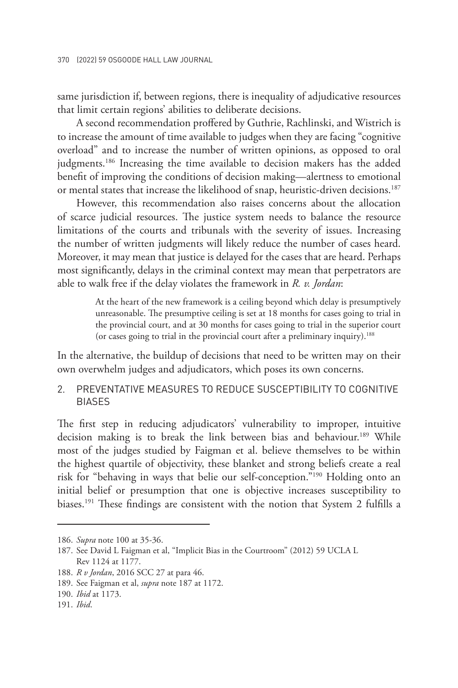same jurisdiction if, between regions, there is inequality of adjudicative resources that limit certain regions' abilities to deliberate decisions.

A second recommendation proffered by Guthrie, Rachlinski, and Wistrich is to increase the amount of time available to judges when they are facing "cognitive overload" and to increase the number of written opinions, as opposed to oral judgments.<sup>186</sup> Increasing the time available to decision makers has the added benefit of improving the conditions of decision making—alertness to emotional or mental states that increase the likelihood of snap, heuristic-driven decisions.187

However, this recommendation also raises concerns about the allocation of scarce judicial resources. The justice system needs to balance the resource limitations of the courts and tribunals with the severity of issues. Increasing the number of written judgments will likely reduce the number of cases heard. Moreover, it may mean that justice is delayed for the cases that are heard. Perhaps most significantly, delays in the criminal context may mean that perpetrators are able to walk free if the delay violates the framework in *R. v. Jordan*:

> At the heart of the new framework is a ceiling beyond which delay is presumptively unreasonable. The presumptive ceiling is set at 18 months for cases going to trial in the provincial court, and at 30 months for cases going to trial in the superior court (or cases going to trial in the provincial court after a preliminary inquiry).<sup>188</sup>

In the alternative, the buildup of decisions that need to be written may on their own overwhelm judges and adjudicators, which poses its own concerns.

#### 2. PREVENTATIVE MEASURES TO REDUCE SUSCEPTIBILITY TO COGNITIVE BIASES

The first step in reducing adjudicators' vulnerability to improper, intuitive decision making is to break the link between bias and behaviour.<sup>189</sup> While most of the judges studied by Faigman et al. believe themselves to be within the highest quartile of objectivity, these blanket and strong beliefs create a real risk for "behaving in ways that belie our self-conception."190 Holding onto an initial belief or presumption that one is objective increases susceptibility to biases.191 These findings are consistent with the notion that System 2 fulfills a

<sup>186.</sup> *Supra* note 100 at 35-36.

<sup>187.</sup> See David L Faigman et al, "Implicit Bias in the Courtroom" (2012) 59 UCLA L Rev 1124 at 1177.

<sup>188.</sup> *R v Jordan*, 2016 SCC 27 at para 46.

<sup>189.</sup> See Faigman et al, *supra* note 187 at 1172.

<sup>190.</sup> *Ibid* at 1173.

<sup>191.</sup> *Ibid*.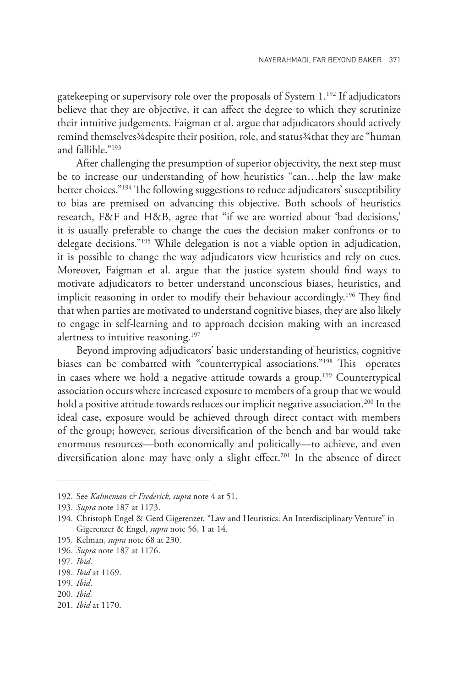gatekeeping or supervisory role over the proposals of System  $1.^{192}$  If adjudicators believe that they are objective, it can affect the degree to which they scrutinize their intuitive judgements. Faigman et al. argue that adjudicators should actively remind themselves¾despite their position, role, and status¾that they are "human and fallible."193

After challenging the presumption of superior objectivity, the next step must be to increase our understanding of how heuristics "can…help the law make better choices."194 The following suggestions to reduce adjudicators' susceptibility to bias are premised on advancing this objective. Both schools of heuristics research, F&F and H&B, agree that "if we are worried about 'bad decisions,' it is usually preferable to change the cues the decision maker confronts or to delegate decisions."195 While delegation is not a viable option in adjudication, it is possible to change the way adjudicators view heuristics and rely on cues. Moreover, Faigman et al. argue that the justice system should find ways to motivate adjudicators to better understand unconscious biases, heuristics, and implicit reasoning in order to modify their behaviour accordingly.<sup>196</sup> They find that when parties are motivated to understand cognitive biases, they are also likely to engage in self-learning and to approach decision making with an increased alertness to intuitive reasoning.<sup>197</sup>

Beyond improving adjudicators' basic understanding of heuristics, cognitive biases can be combatted with "countertypical associations."<sup>198</sup> This operates in cases where we hold a negative attitude towards a group.<sup>199</sup> Countertypical association occurs where increased exposure to members of a group that we would hold a positive attitude towards reduces our implicit negative association.<sup>200</sup> In the ideal case, exposure would be achieved through direct contact with members of the group; however, serious diversification of the bench and bar would take enormous resources—both economically and politically—to achieve, and even diversification alone may have only a slight effect.<sup>201</sup> In the absence of direct

195. Kelman, *supra* note 68 at 230.

201. *Ibid* at 1170.

<sup>192.</sup> See *Kahneman & Frederick*, *supra* note 4 at 51.

<sup>193.</sup> *Supra* note 187 at 1173.

<sup>194.</sup> Christoph Engel & Gerd Gigerenzer, "Law and Heuristics: An Interdisciplinary Venture" in Gigerenzer & Engel, *supra* note 56, 1 at 14.

<sup>196.</sup> *Supra* note 187 at 1176.

<sup>197.</sup> *Ibid*.

<sup>198.</sup> *Ibid* at 1169.

<sup>199.</sup> *Ibid*.

<sup>200.</sup> *Ibid.*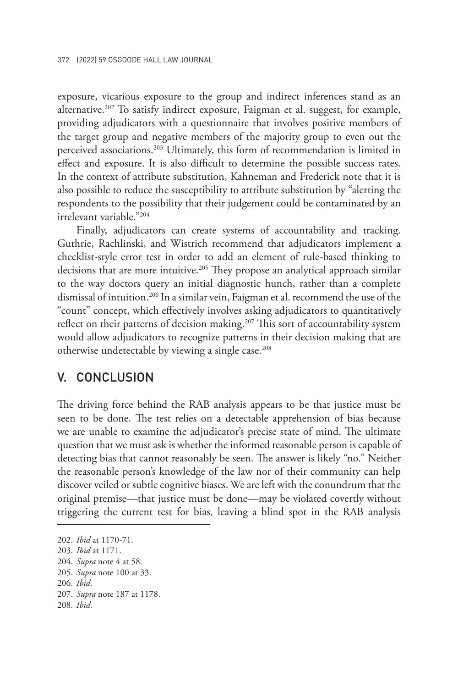exposure, vicarious exposure to the group and indirect inferences stand as an alternative.<sup>202</sup> To satisfy indirect exposure, Faigman et al. suggest, for example, providing adjudicators with a questionnaire that involves positive members of the target group and negative members of the majority group to even out the perceived associations.<sup>203</sup> Ultimately, this form of recommendation is limited in effect and exposure. It is also difficult to determine the possible success rates. In the context of attribute substitution, Kahneman and Frederick note that it is also possible to reduce the susceptibility to attribute substitution by "alerting the respondents to the possibility that their judgement could be contaminated by an irrelevant variable."204

Finally, adjudicators can create systems of accountability and tracking. Guthrie, Rachlinski, and Wistrich recommend that adjudicators implement a checklist-style error test in order to add an element of rule-based thinking to decisions that are more intuitive.<sup>205</sup> They propose an analytical approach similar to the way doctors query an initial diagnostic hunch, rather than a complete dismissal of intuition.<sup>206</sup> In a similar vein, Faigman et al. recommend the use of the "count" concept, which effectively involves asking adjudicators to quantitatively reflect on their patterns of decision making.<sup>207</sup> This sort of accountability system would allow adjudicators to recognize patterns in their decision making that are otherwise undetectable by viewing a single case.<sup>208</sup>

### V. CONCLUSION

The driving force behind the RAB analysis appears to be that justice must be seen to be done. The test relies on a detectable apprehension of bias because we are unable to examine the adjudicator's precise state of mind. The ultimate question that we must ask is whether the informed reasonable person is capable of detecting bias that cannot reasonably be seen. The answer is likely "no." Neither the reasonable person's knowledge of the law nor of their community can help discover veiled or subtle cognitive biases. We are left with the conundrum that the original premise—that justice must be done—may be violated covertly without triggering the current test for bias, leaving a blind spot in the RAB analysis

<sup>202.</sup> *Ibid* at 1170-71.

<sup>203.</sup> *Ibid* at 1171.

<sup>204.</sup> *Supra* note 4 at 58.

<sup>205.</sup> *Supra* note 100 at 33.

<sup>206.</sup> *Ibid*.

<sup>207.</sup> *Supra* note 187 at 1178.

<sup>208.</sup> *Ibid*.